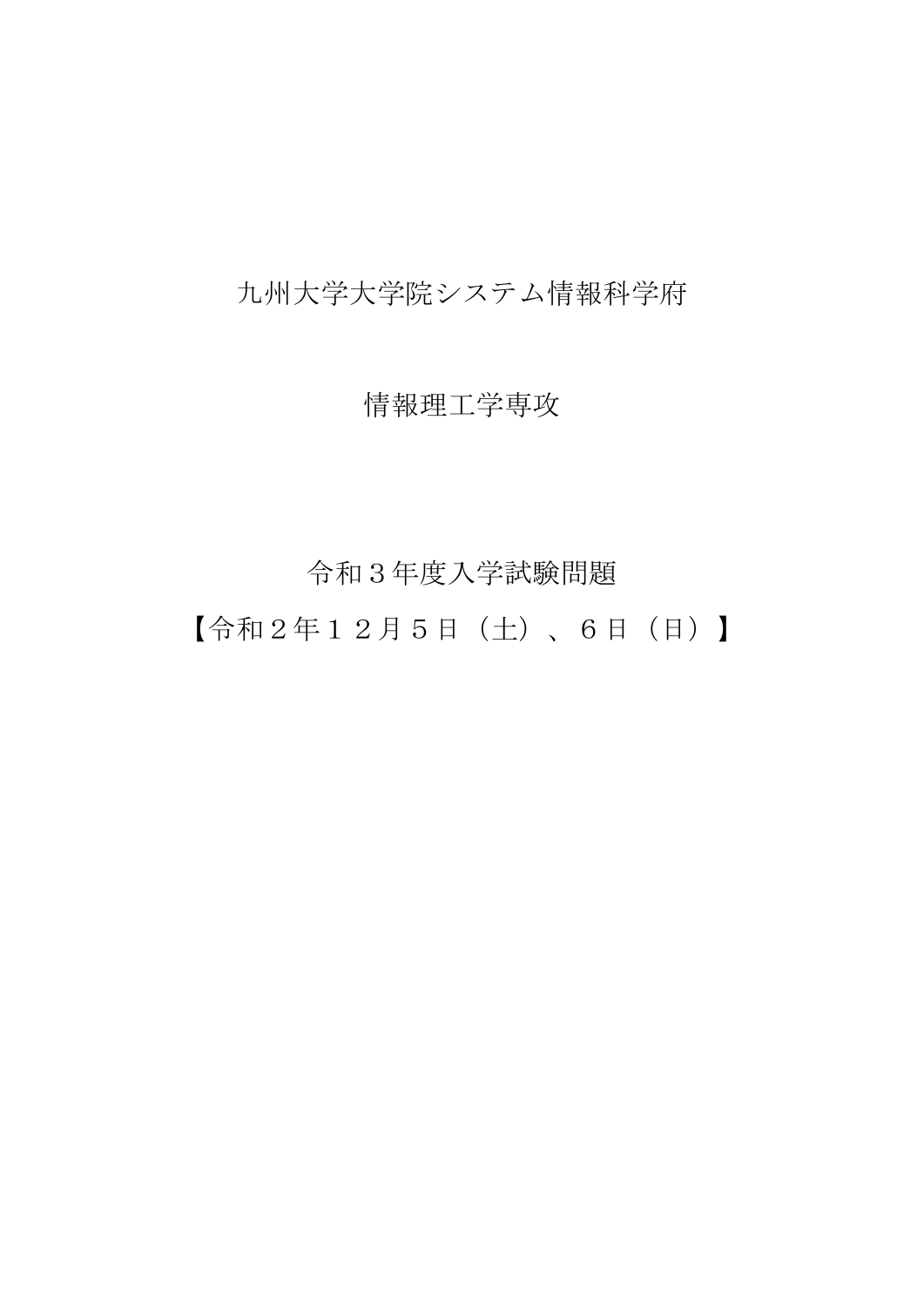## 九州大学大学院システム情報科学府

## 情報理工学専攻

## 令和3年度入学試験問題

【令和2年12月5日(土)、6日(日)】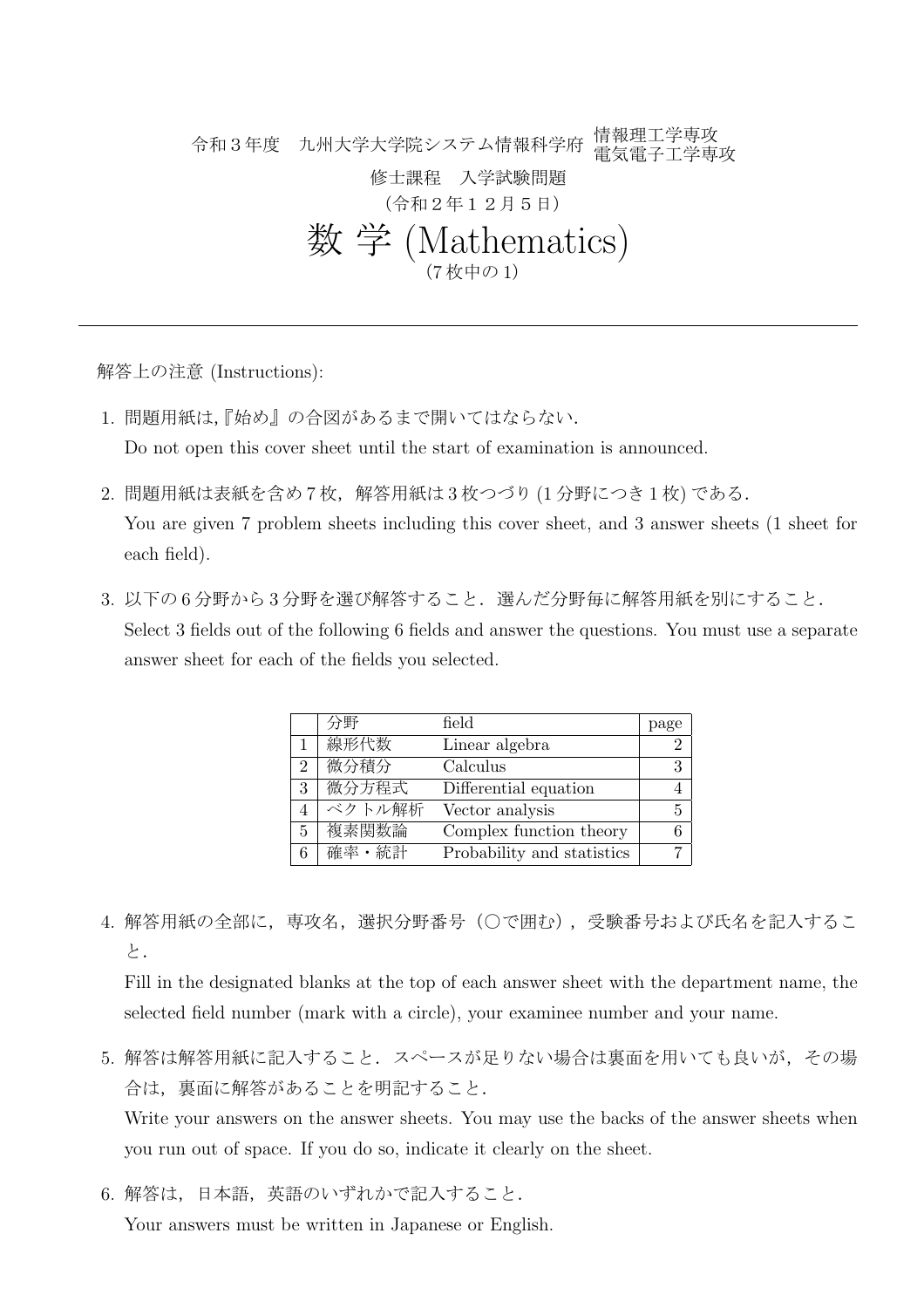令和3年度 九州大学大学院システム情報科学府 情報理工学専攻 電気電子工学専攻 修士課程 入学試験問題 (令和2年12月5日) 数 学 (Mathematics) (7 枚中の 1)

解答上の注意 (Instructions):

1. 問題用紙は,『始め』の合図があるまで開いてはならない.

Do not open this cover sheet until the start of examination is announced.

2. 問題用紙は表紙を含め7枚,解答用紙は3枚つづり(1分野につき1枚)である.

You are given 7 problem sheets including this cover sheet, and 3 answer sheets (1 sheet for each field).

3. 以下の6分野から3分野を選び解答すること. 選んだ分野毎に解答用紙を別にすること. Select 3 fields out of the following 6 fields and answer the questions. You must use a separate answer sheet for each of the fields you selected.

|                | 分野     | field                      | page |
|----------------|--------|----------------------------|------|
|                | 線形代数   | Linear algebra             | 2    |
| $\overline{2}$ | 微分積分   | Calculus                   | 3    |
| 3              | 微分方程式  | Differential equation      |      |
|                | ベクトル解析 | Vector analysis            | 5    |
| $5^{\circ}$    | 複素関数論  | Complex function theory    | 6    |
| 6              | 確率・統計  | Probability and statistics |      |

4. 解答用紙の全部に, 専攻名, 選択分野番号(○で囲む), 受験番号および氏名を記入するこ と.

Fill in the designated blanks at the top of each answer sheet with the department name, the selected field number (mark with a circle), your examinee number and your name.

- 5. 解答は解答用紙に記入すること. スペースが足りない場合は裏面を用いても良いが、その場 合は,裏面に解答があることを明記すること. Write your answers on the answer sheets. You may use the backs of the answer sheets when you run out of space. If you do so, indicate it clearly on the sheet.
- 6. 解答は,日本語,英語のいずれかで記入すること.

Your answers must be written in Japanese or English.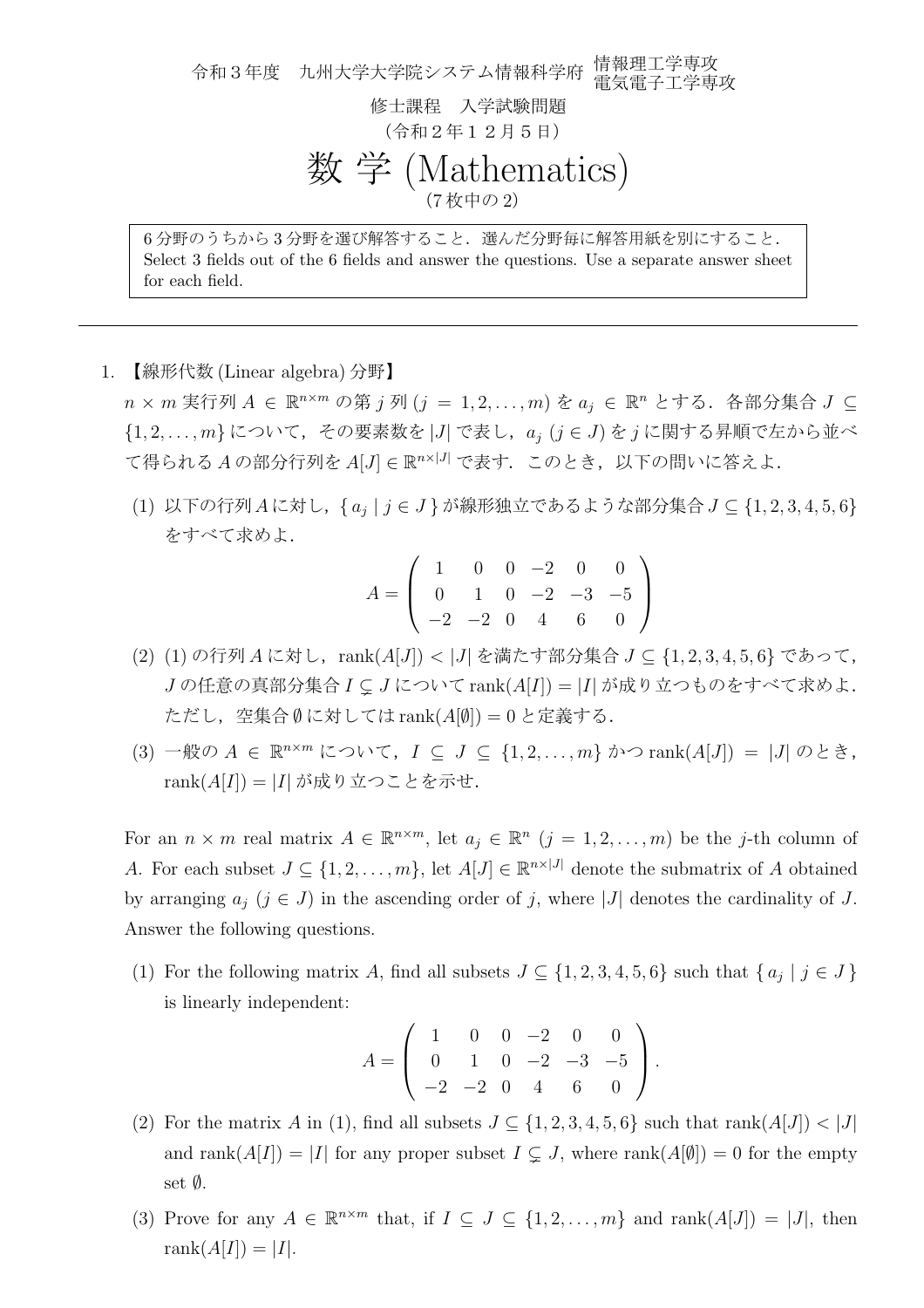令和3年度 九州大学大学院システム情報科学府 情報理工学専攻 電気電子工学専攻 修士課程 入学試験問題 (令和2年12月5日) 数 学 (Mathematics) (7 枚中の 2) 6 分野のうちから 3 分野を選び解答すること.選んだ分野毎に解答用紙を別にすること.

Select 3 fields out of the 6 fields and answer the questions. Use a separate answer sheet for each field.

1. 【線形代数 (Linear algebra) 分野】

*n × m* 実行列 *A ∈* R *<sup>n</sup>×<sup>m</sup>* の第 *j* 列 (*j* = 1*,* 2*, . . . , m*) を *a<sup>j</sup> ∈* R *<sup>n</sup>* とする.各部分集合 *J ⊆ {*1*,* 2*, . . . , m}* について,その要素数を *|J|* で表し,*a<sup>j</sup>* (*j ∈ J*) を *j* に関する昇順で左から並べ て得られる *A* の部分行列を *A*[*J*] *∈* R *<sup>n</sup>×|J<sup>|</sup>* で表す.このとき,以下の問いに答えよ.

(1) 以下の行列*A*に対し,*{ a<sup>j</sup> | j ∈ J }*が線形独立であるような部分集合*J ⊆ {*1*,* 2*,* 3*,* 4*,* 5*,* 6*}* をすべて求めよ.

$$
A = \left(\begin{array}{cccccc} 1 & 0 & 0 & -2 & 0 & 0 \\ 0 & 1 & 0 & -2 & -3 & -5 \\ -2 & -2 & 0 & 4 & 6 & 0 \end{array}\right)
$$

- (2) (1) の行列 *A* に対し,rank(*A*[*J*]) *< |J|* を満たす部分集合 *J ⊆ {*1*,* 2*,* 3*,* 4*,* 5*,* 6*}* であって, *J* の任意の真部分集合 *I* ⊊ *J* について rank(*A*[*I*]) = *|I|* が成り立つものをすべて求めよ. ただし,空集合 *∅* に対しては rank(*A*[*∅*]) = 0 と定義する.
- (3) 一般の *A ∈* R *<sup>n</sup>×<sup>m</sup>* について,*I ⊆ J ⊆ {*1*,* 2*, . . . , m}* かつ rank(*A*[*J*]) = *|J|* のとき, rank(*A*[*I*]) = *|I|* が成り立つことを示せ.

For an  $n \times m$  real matrix  $A \in \mathbb{R}^{n \times m}$ , let  $a_j \in \mathbb{R}^n$   $(j = 1, 2, \ldots, m)$  be the *j*-th column of *A*. For each subset  $J \subseteq \{1, 2, \ldots, m\}$ , let  $A[J] \in \mathbb{R}^{n \times |J|}$  denote the submatrix of *A* obtained by arranging  $a_j$  ( $j \in J$ ) in the ascending order of *j*, where |*J*| denotes the cardinality of *J*. Answer the following questions.

(1) For the following matrix *A*, find all subsets  $J \subseteq \{1, 2, 3, 4, 5, 6\}$  such that  $\{a_j \mid j \in J\}$ is linearly independent:

$$
A = \left(\begin{array}{rrrrr} 1 & 0 & 0 & -2 & 0 & 0 \\ 0 & 1 & 0 & -2 & -3 & -5 \\ -2 & -2 & 0 & 4 & 6 & 0 \end{array}\right).
$$

- (2) For the matrix *A* in (1), find all subsets  $J \subseteq \{1, 2, 3, 4, 5, 6\}$  such that rank $(A[J]) < |J|$ and rank $(A[I]) = |I|$  for any proper subset  $I \subseteq J$ , where rank $(A[\emptyset]) = 0$  for the empty set *∅*.
- (3) Prove for any  $A \in \mathbb{R}^{n \times m}$  that, if  $I \subseteq J \subseteq \{1, 2, \ldots, m\}$  and  $\text{rank}(A[J]) = |J|$ , then rank $(A[I]) = |I|$ .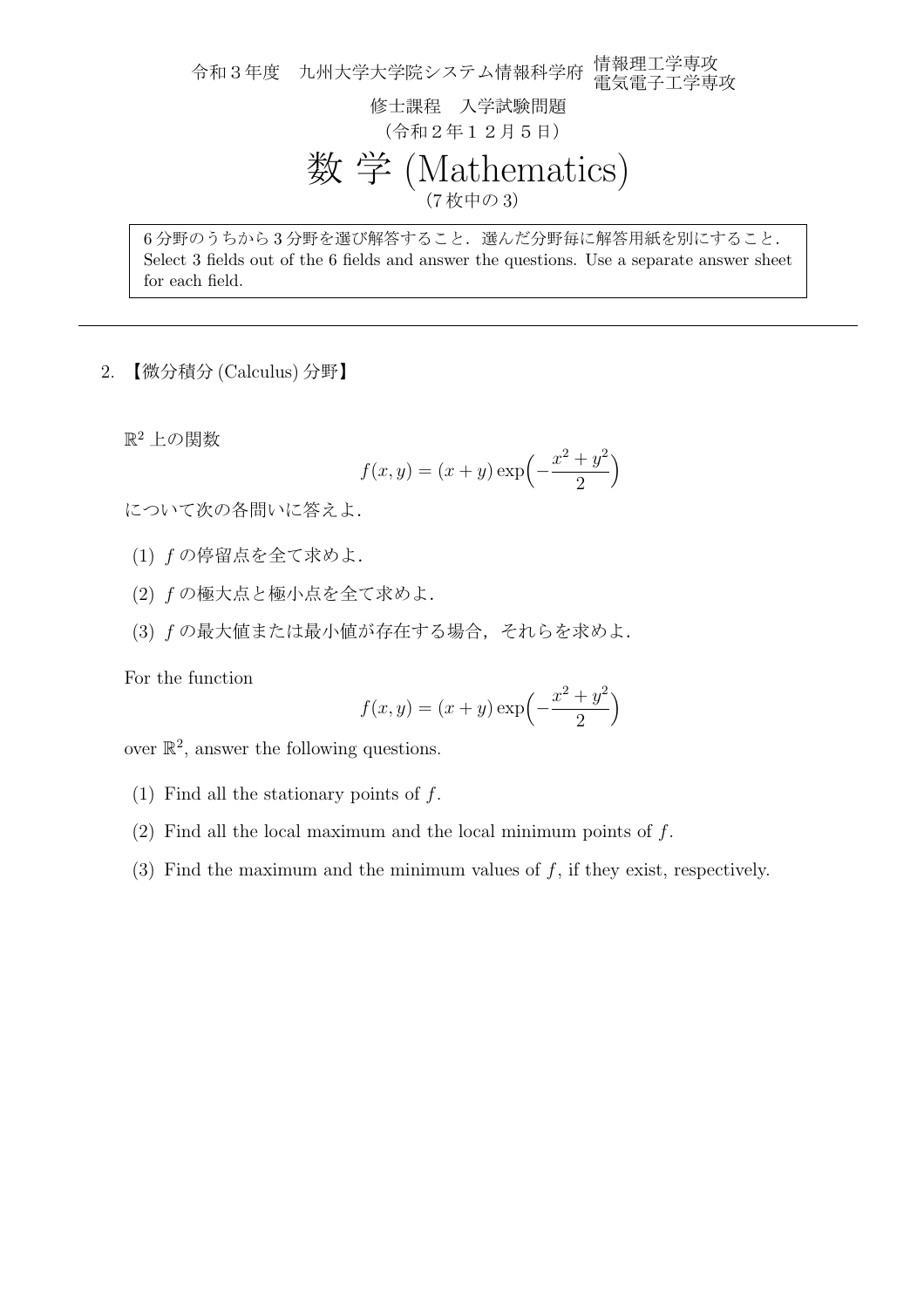令和3年度 九州大学大学院システム情報科学府 情報理工学専攻 電気電子工学専攻 修士課程 入学試験問題 (令和2年12月5日) 数 学 (Mathematics) (7 枚中の 3)

6 分野のうちから 3 分野を選び解答すること.選んだ分野毎に解答用紙を別にすること. Select 3 fields out of the 6 fields and answer the questions. Use a separate answer sheet for each field.

2. 【微分積分 (Calculus) 分野】

 $\mathbb{R}^2$ 上の関数

$$
f(x, y) = (x + y) \exp\left(-\frac{x^2 + y^2}{2}\right)
$$

について次の各問いに答えよ.

- (1) *f* の停留点を全て求めよ.
- (2) *f* の極大点と極小点を全て求めよ.
- (3) *f* の最大値または最小値が存在する場合,それらを求めよ.

For the function

$$
f(x, y) = (x + y) \exp\left(-\frac{x^2 + y^2}{2}\right)
$$

over  $\mathbb{R}^2$ , answer the following questions.

- (1) Find all the stationary points of *f*.
- (2) Find all the local maximum and the local minimum points of *f*.
- (3) Find the maximum and the minimum values of *f*, if they exist, respectively.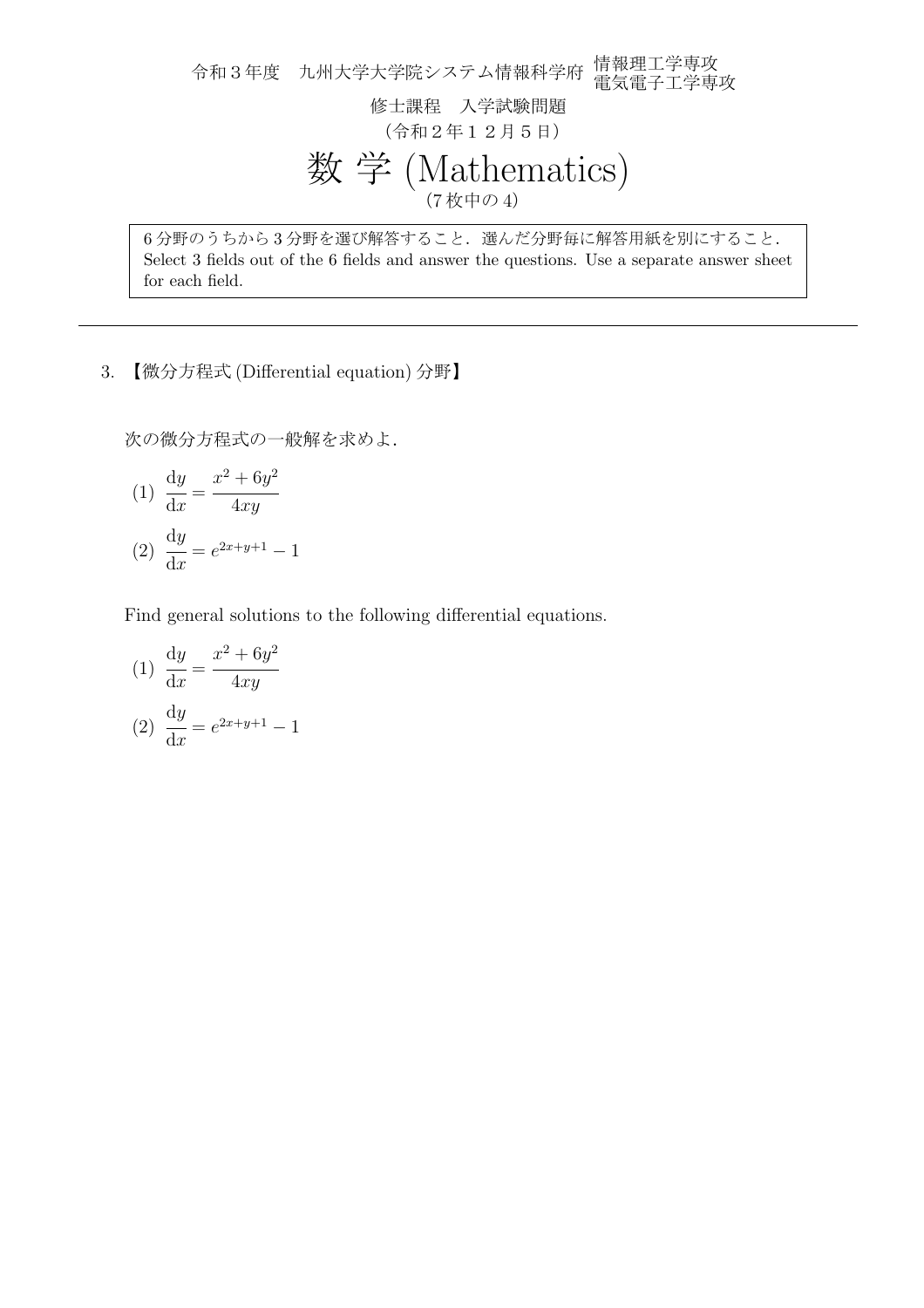令和3年度 九州大学大学院システム情報科学府 情報理工学専攻 電気電子工学専攻 修士課程 入学試験問題 (令和2年12月5日) 数 学 (Mathematics) (7 枚中の 4)

6 分野のうちから 3 分野を選び解答すること.選んだ分野毎に解答用紙を別にすること. Select 3 fields out of the 6 fields and answer the questions. Use a separate answer sheet for each field.

3. 【微分方程式 (Differential equation) 分野】

次の微分方程式の一般解を求めよ.

(1) 
$$
\frac{dy}{dx} = \frac{x^2 + 6y^2}{4xy}
$$
  
(2) 
$$
\frac{dy}{dx} = e^{2x+y+1} - 1
$$

Find general solutions to the following differential equations.

(1) 
$$
\frac{dy}{dx} = \frac{x^2 + 6y^2}{4xy}
$$
  
(2) 
$$
\frac{dy}{dx} = e^{2x+y+1} - 1
$$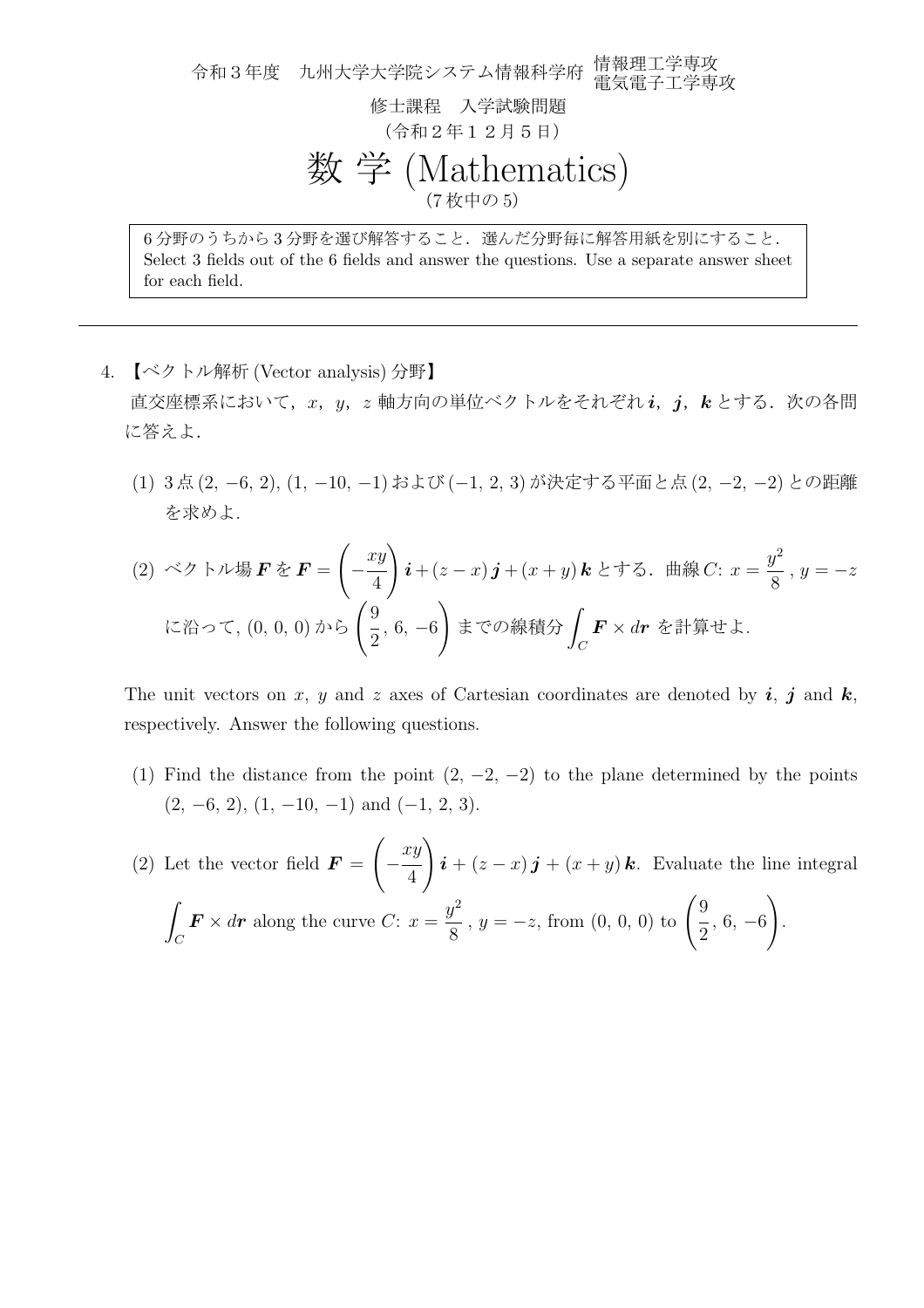令和3年度 九州大学大学院システム情報科学府 情報理工学専攻 電気電子工学専攻 修士課程 入学試験問題 (令和2年12月5日) 数 学 (Mathematics) (7 枚中の 5) 6 分野のうちから 3 分野を選び解答すること.選んだ分野毎に解答用紙を別にすること.

Select 3 fields out of the 6 fields and answer the questions. Use a separate answer sheet for each field.

- 4. 【ベクトル解析 (Vector analysis) 分野】 直交座標系において,*x*,*y*,*z* 軸方向の単位ベクトルをそれぞれ *i*,*j*,*k* とする.次の各問 に答えよ.
	- (1) 3 点 (2*, −*6*,* 2), (1*, −*10*, −*1) および (*−*1*,* 2*,* 3) が決定する平面と点 (2*, −*2*, −*2) との距離 を求めよ.

(2) ベクトル場*F*を*F* = 
$$
\left(-\frac{xy}{4}\right)\mathbf{i} + (z-x)\mathbf{j} + (x+y)\mathbf{k}
$$
とする. 曲線*C*:  $x = \frac{y^2}{8}$ ,  $y = -z$   
に治って, (0, 0, 0) から  $\left(\frac{9}{2}, 6, -6\right)$ までの線積分  $\int_C \mathbf{F} \times d\mathbf{r}$ を計算せは.

The unit vectors on *x*, *y* and *z* axes of Cartesian coordinates are denoted by *i*, *j* and *k*, respectively. Answer the following questions.

- (1) Find the distance from the point  $(2, -2, -2)$  to the plane determined by the points (2*, −*6*,* 2), (1*, −*10*, −*1) and (*−*1*,* 2*,* 3).
- (2) Let the vector field  $\boldsymbol{F} =$  $\sqrt{2}$ *− xy* 4  $\setminus$  $\mathbf{i} + (z - x)\mathbf{j} + (x + y)\mathbf{k}$ . Evaluate the line integral ∫ *C*  $\boldsymbol{F} \times d\boldsymbol{r}$  along the curve *C*:  $x =$ *y* 2  $y^2/8$ ,  $y = -z$ , from  $(0, 0, 0)$  to  $\left(\frac{9}{2}\right)$  $\frac{1}{2}$ , 6, −6  $\setminus$ .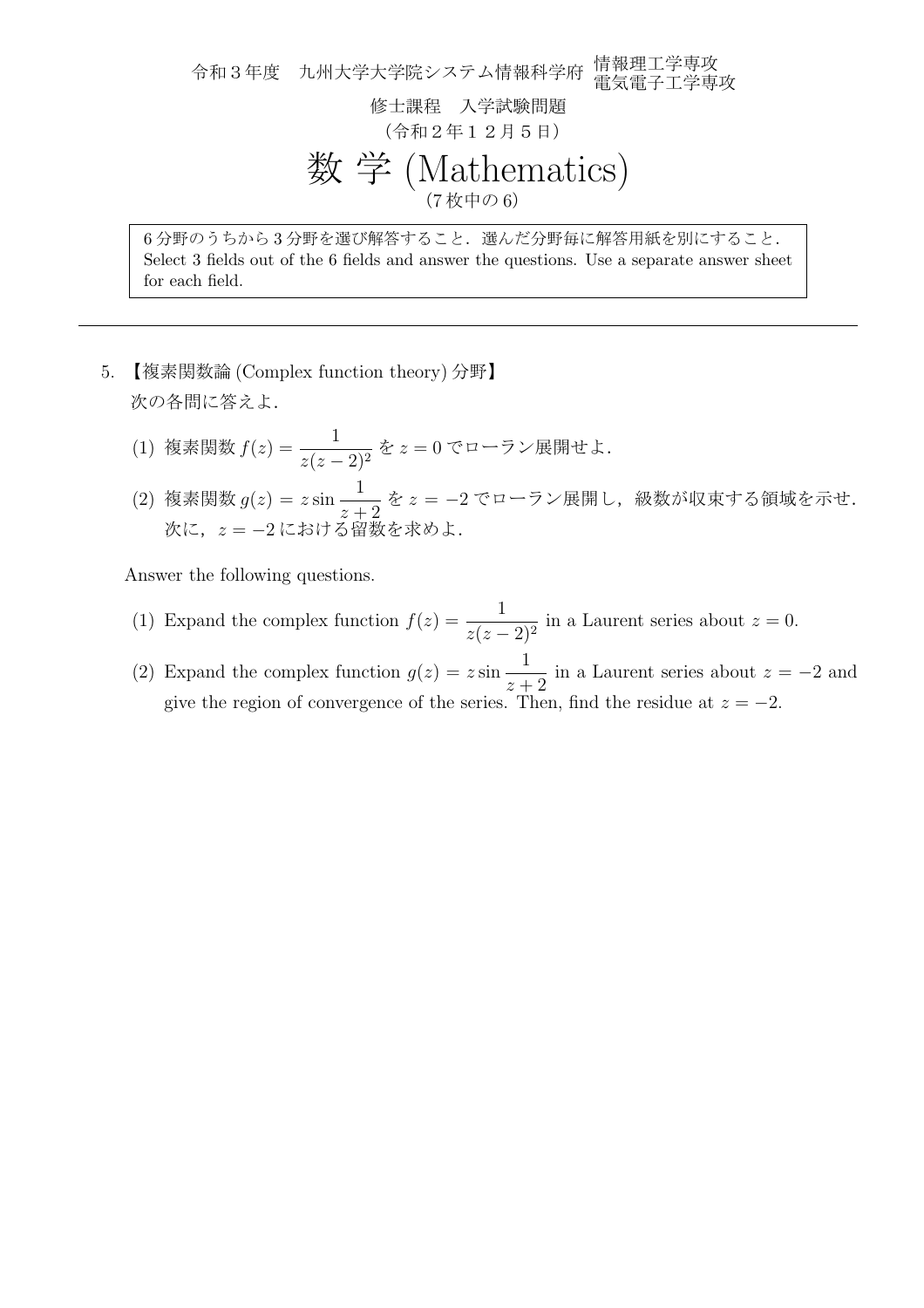令和3年度 九州大学大学院システム情報科学府 情報理工学専攻 電気電子工学専攻 修士課程 入学試験問題 (令和2年12月5日) 数 学 (Mathematics) (7 枚中の 6)

6 分野のうちから 3 分野を選び解答すること.選んだ分野毎に解答用紙を別にすること. Select 3 fields out of the 6 fields and answer the questions. Use a separate answer sheet for each field.

- 5. 【複素関数論 (Complex function theory) 分野】 次の各問に答えよ.
	- (1) 複素関数 *<sup>f</sup>*(*z*) = <sup>1</sup> *<sup>z</sup>*(*<sup>z</sup> <sup>−</sup>* 2)<sup>2</sup> <sup>を</sup> *<sup>z</sup>* = 0 でローラン展開せよ.
	- $(2)$  複素関数  $g(z) = z \sin \frac{1}{z}$ **── を** *z* **= −2 でローラン展開し,級数が収束する領域を示せ.**<br>*z* + 2 次に,*z* = *−*2 における留数を求めよ.

Answer the following questions.

- (1) Expand the complex function  $f(z) = \frac{1}{z-1}$  $\frac{1}{z(z-2)^2}$  in a Laurent series about  $z=0$ .
- (2) Expand the complex function  $g(z) = z \sin z$ 1  $\frac{1}{z+2}$  in a Laurent series about  $z = -2$  and give the region of convergence of the series. Then, find the residue at  $z = -2$ .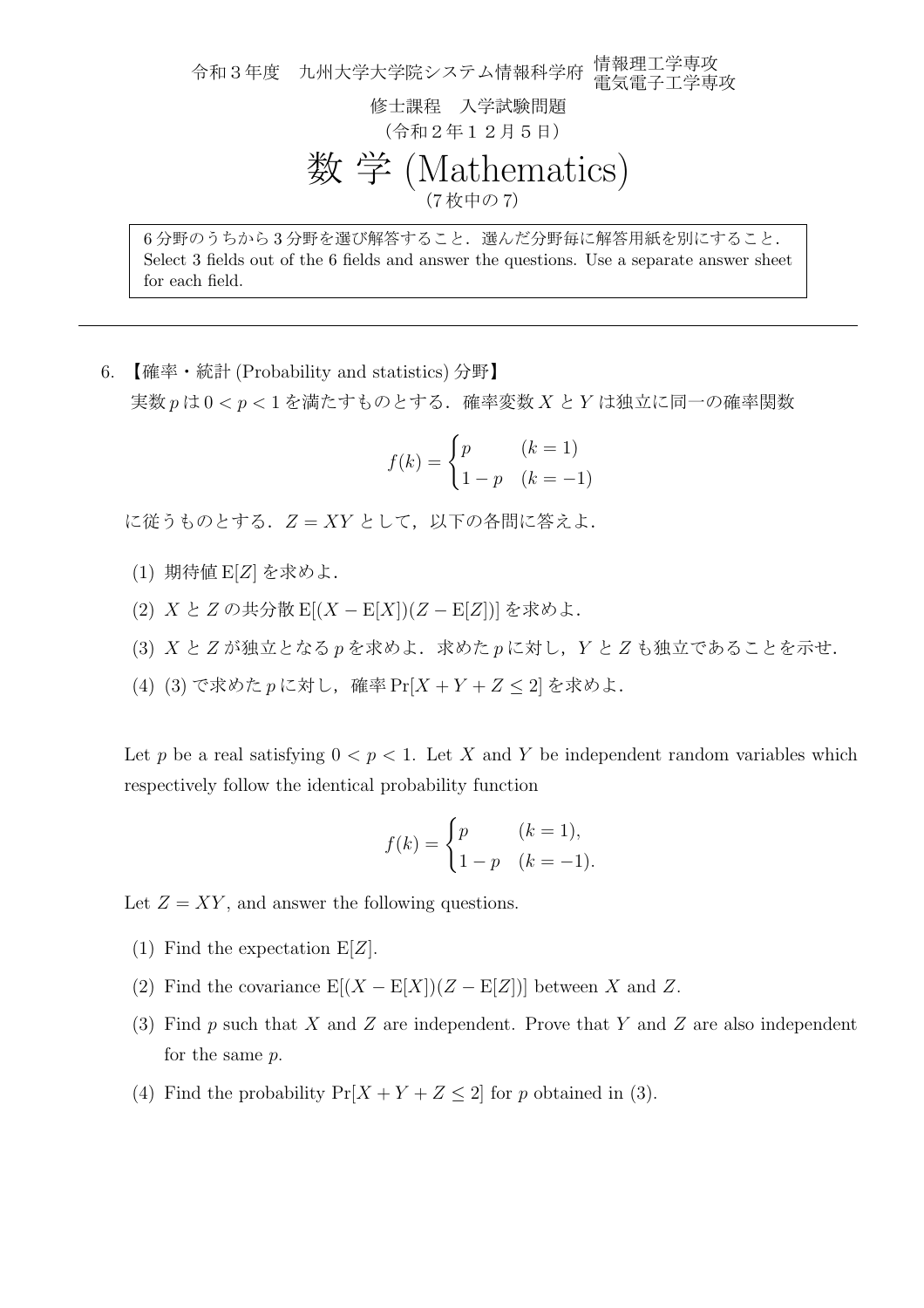令和3年度 九州大学大学院システム情報科学府 情報理工学専攻 電気電子工学専攻 修士課程 入学試験問題 (令和2年12月5日) 数 学 (Mathematics) (7 枚中の 7) 6 分野のうちから 3 分野を選び解答すること.選んだ分野毎に解答用紙を別にすること.

Select 3 fields out of the 6 fields and answer the questions. Use a separate answer sheet for each field.

6. 【確率・統計 (Probability and statistics) 分野】 実数 *p* は 0 *< p <* 1 を満たすものとする.確率変数 *X* と *Y* は独立に同一の確率関数

$$
f(k) = \begin{cases} p & (k = 1) \\ 1 - p & (k = -1) \end{cases}
$$

に従うものとする.  $Z = XY \geq U$ て、以下の各問に答えよ.

- (1) 期待値 E[*Z*] を求めよ.
- (2) *X* と *Z* の共分散 E[(*X −* E[*X*])(*Z −* E[*Z*])] を求めよ.
- (3) *X* と *Z* が独立となる *p* を求めよ.求めた *p* に対し,*Y* と *Z* も独立であることを示せ.
- (4) (3) で求めた *p* に対し,確率 Pr[*X* + *Y* + *Z ≤* 2] を求めよ.

Let *p* be a real satisfying  $0 \leq p \leq 1$ . Let *X* and *Y* be independent random variables which respectively follow the identical probability function

$$
f(k) = \begin{cases} p & (k = 1), \\ 1 - p & (k = -1). \end{cases}
$$

Let  $Z = XY$ , and answer the following questions.

- (1) Find the expectation E[*Z*].
- (2) Find the covariance  $E[(X E[X])(Z E[Z])]$  between X and Z.
- (3) Find *p* such that *X* and *Z* are independent. Prove that *Y* and *Z* are also independent for the same *p*.
- (4) Find the probability  $Pr[X + Y + Z \le 2]$  for *p* obtained in (3).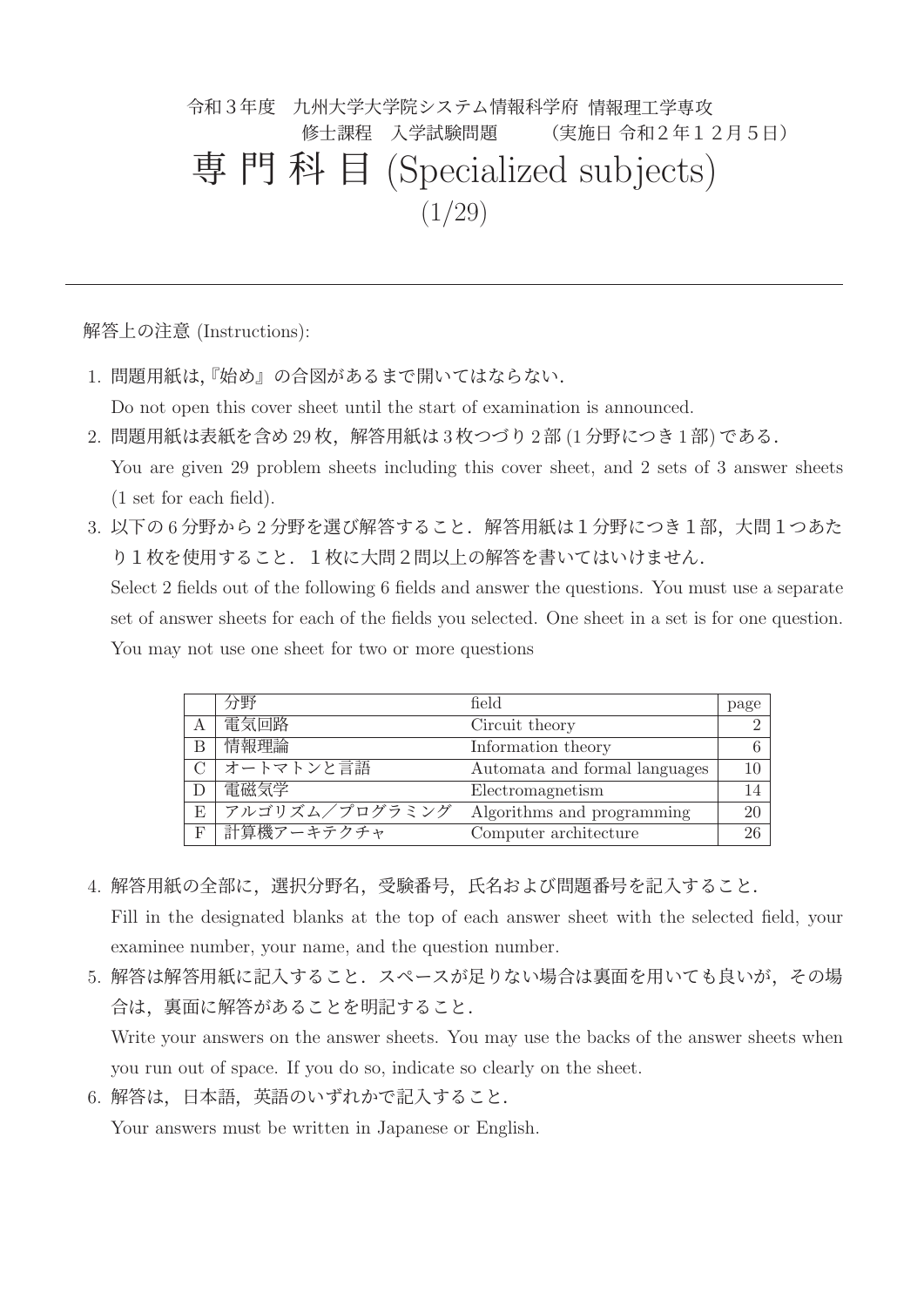# 令和3年度 九州大学大学院システム情報科学府 情報理工学専攻 修士課程 入学試験問題 (実施日 令和2年12月5日) 専門科目 (Specialized subjects)  $(1/29)$

解答上の注意 (Instructions):

1. 問題用紙は,『始め』の合図があるまで開いてはならない.

Do not open this cover sheet until the start of examination is announced.

- 2. 問題用紙は表紙を含め 29 枚,解答用紙は 3 枚つづり 2 部 (1 分野につき 1 部) である. You are given 29 problem sheets including this cover sheet, and 2 sets of 3 answer sheets (1 set for each field).
- 3. 以下の 6 分野から 2 分野を選び解答すること. 解答用紙は 1 分野につき 1 部, 大問 1 つあた り1枚を使用すること. 1枚に大問2問以上の解答を書いてはいけません.

Select 2 fields out of the following 6 fields and answer the questions. You must use a separate set of answer sheets for each of the fields you selected. One sheet in a set is for one question. You may not use one sheet for two or more questions

|   | 分野             | field                         | page         |
|---|----------------|-------------------------------|--------------|
| А | 電気回路           | Circuit theory                |              |
| В | 情報理論           | Information theory            |              |
|   | オートマトンと言語      | Automata and formal languages |              |
|   | 電磁気学           | Electromagnetism              |              |
| E | アルゴリズム/プログラミング | Algorithms and programming    | $20^{\circ}$ |
| F | 計算機アーキテクチャ     | Computer architecture         | 26           |

4. 解答用紙の全部に,選択分野名,受験番号,氏名および問題番号を記入すること.

Fill in the designated blanks at the top of each answer sheet with the selected field, your examinee number, your name, and the question number.

5. 解答は解答用紙に記入すること. スペースが足りない場合は裏面を用いても良いが、その場 合は,裏面に解答があることを明記すること.

Write your answers on the answer sheets. You may use the backs of the answer sheets when you run out of space. If you do so, indicate so clearly on the sheet.

6. 解答は,日本語,英語のいずれかで記入すること.

Your answers must be written in Japanese or English.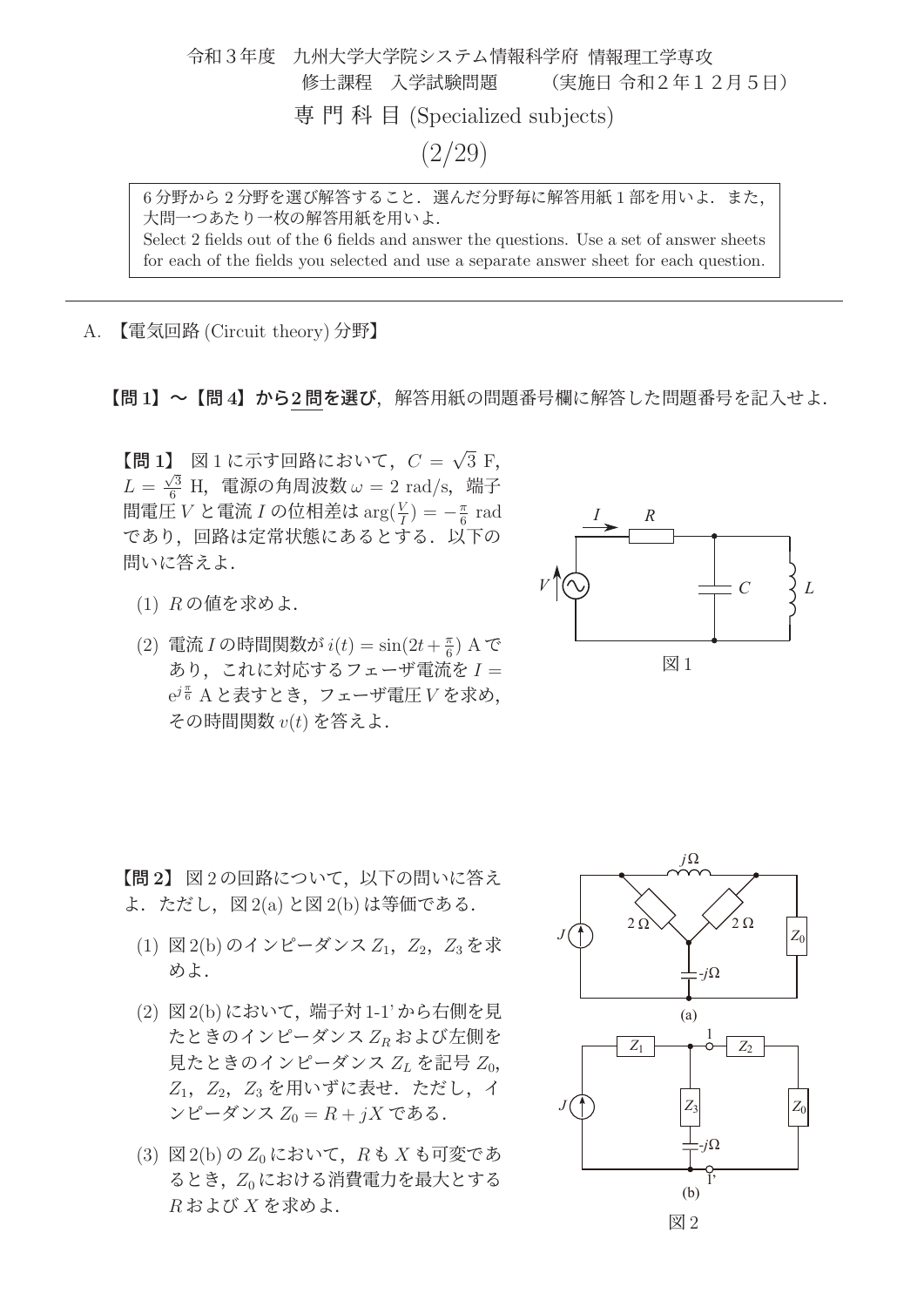令和3年度 九州大学大学院システム情報科学府 情報理工学専攻 修士課程 入学試験問題 (実施日 令和2年12月5日) 専門科目 (Specialized subjects) (2/29)

6分野から2分野を選び解答すること. 選んだ分野毎に解答用紙1部を用いよ. また, 大問一つあたり一枚の解答用紙を用いよ. Select 2 fields out of the 6 fields and answer the questions. Use a set of answer sheets

for each of the fields you selected and use a separate answer sheet for each question.

A. 【電気回路 (Circuit theory) 分野】

【問 **<sup>1</sup>**】~【問 **<sup>4</sup>**】から**<sup>2</sup>** 問を選び,解答用紙の問題番号欄に解答した問題番号を記入せよ.

 $[\mathbb{E} \mathbf{1}]$  図 1 に示す回路において,  $C = \sqrt{3} \, \mathrm{F}$ ,  $L = \frac{\sqrt{3}}{6}$  H, 電源の角周波数  $\omega = 2$  rad/s, 端子 間電圧  $V$  と電流  $I$  の位相差は  $\arg(\frac{V}{I}) = -\frac{\pi}{6}$  rad であり,回路は定常状態にあるとする.以下の 問いに答えよ.

- (1) R の値を求めよ.
- (2) 電流 I の時間関数が  $i(t) = \sin(2t + \frac{\pi}{6})$  A で あり、これに対応するフェーザ電流を $I =$  $\mathrm{e}^{j\frac{\pi}{6}}\, \mathrm{A}\,$ と表すとき,フェーザ電圧 $\,V\,$ を求め, その時間関数 v(t) を答えよ.



【<sup>問</sup> **2**】 図 <sup>2</sup> の回路について,以下の問いに答え よ.ただし,図 2(a) と図 2(b) は等価である.

- $(1)$  図 2(b) のインピーダンス  $Z_1$ ,  $Z_2$ ,  $Z_3$  を求 めよ.
- (2) 図2(b)において,端子対1-1'から右側を見 たときのインピーダンス Z<sup>R</sup> および左側を 見たときのインピーダンス  $Z_L$  を記号  $Z_0$ ,  $Z_1$ ,  $Z_2$ ,  $Z_3$  を用いずに表せ. ただし, イ ンピーダンス  $Z_0 = R + iX$  である.
- (3) 図 2(b) の  $Z_0$  において,  $R$  も  $X$  も可変であ るとき、Z0における消費電力を最大とする  $R$ および  $X$ を求めよ.

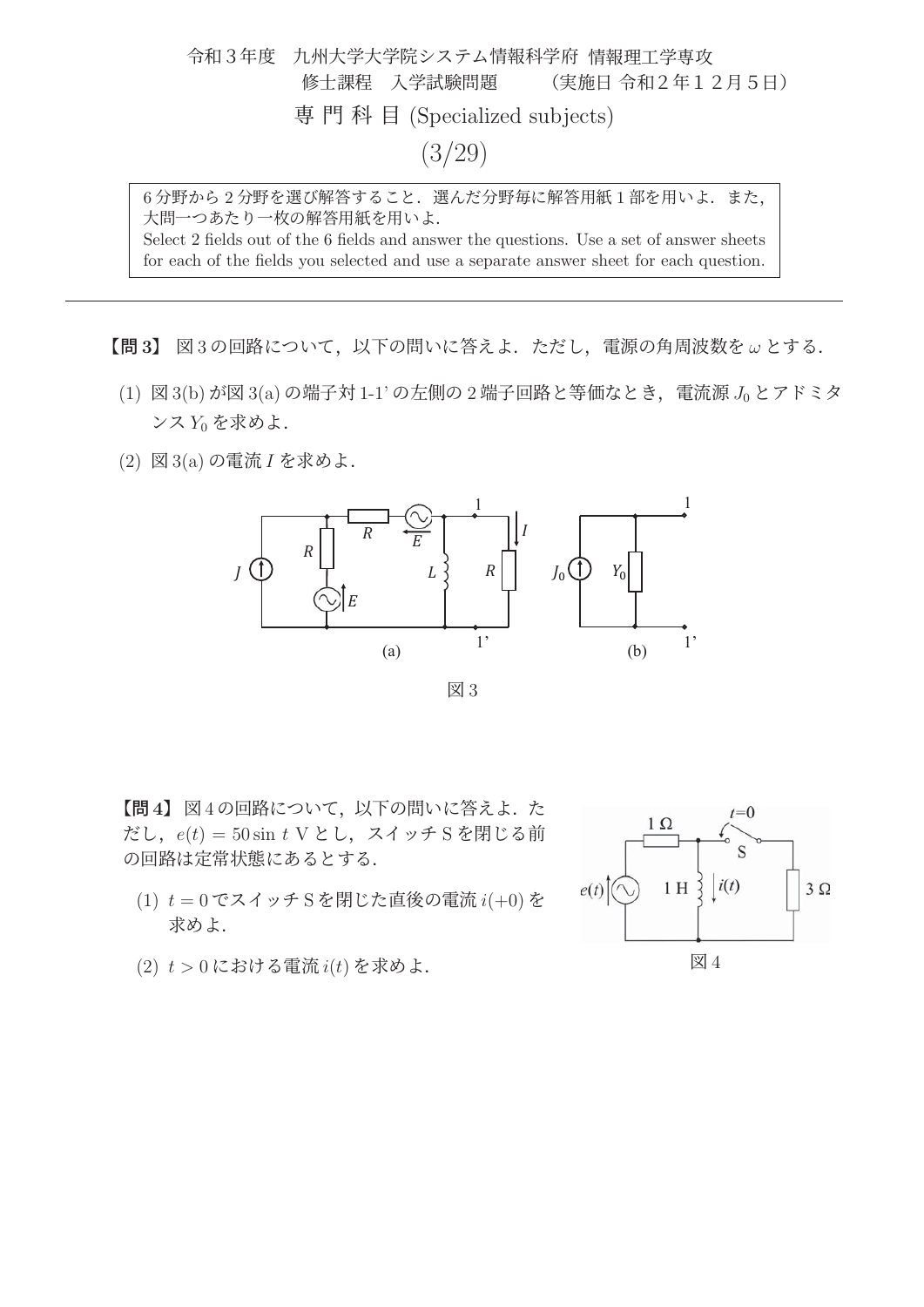令和3年度 九州大学大学院システム情報科学府 情報理工学専攻 修士課程 入学試験問題 (実施日 令和2年12月5日) 専門科目 (Specialized subjects) (3/29)

6分野から2分野を選び解答すること. 選んだ分野毎に解答用紙1部を用いよ. また, 大問一つあたり一枚の解答用紙を用いよ. Select 2 fields out of the 6 fields and answer the questions. Use a set of answer sheets

for each of the fields you selected and use a separate answer sheet for each question.

【<sup>問</sup> **3**】 図 <sup>3</sup> の回路について,以下の問いに答えよ.ただし,電源の角周波数を <sup>ω</sup> とする.

- $(1)$  図 3(b) が図 3(a) の端子対 1-1' の左側の 2 端子回路と等価なとき, 電流源  $J_0$  とアドミタ  $\mathcal{Y} \times Y_0$ を求めよ.
- (2) 図 3(a) の電流 I を求めよ.



図 3

【<sup>問</sup> **4**】 図 <sup>4</sup> の回路について,以下の問いに答えよ.た だし,  $e(t) = 50 \sin t \text{ V}$ とし, スイッチ S を閉じる前 の回路は定常状態にあるとする.

- $(1)$   $t = 0$  でスイッチ S を閉じた直後の電流  $i(+0)$  を 求めよ.
- $(2)$   $t > 0$ における電流 $i(t)$ を求めよ.

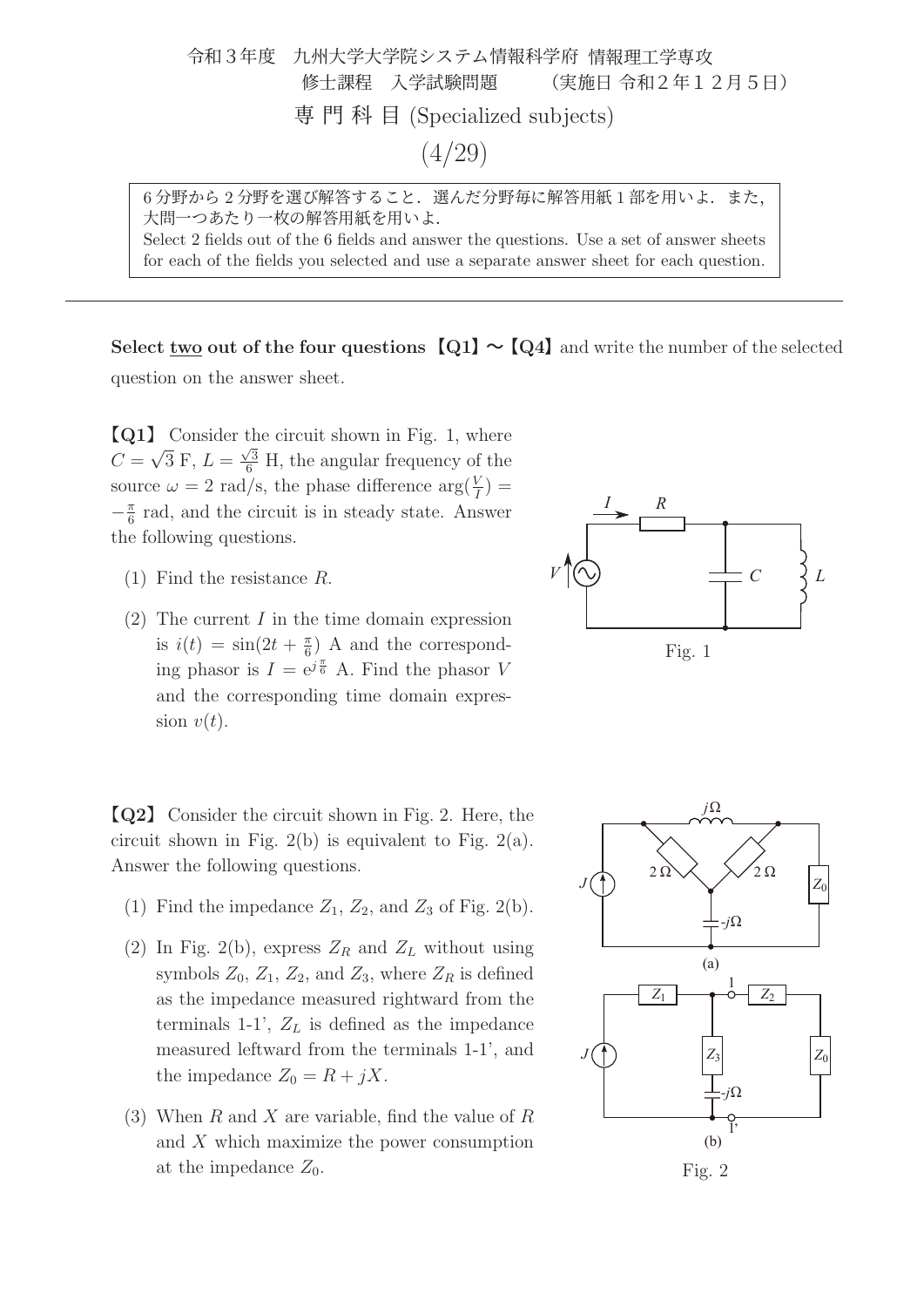

大問一つあたり一枚の解答用紙を用いよ. Select 2 fields out of the 6 fields and answer the questions. Use a set of answer sheets for each of the fields you selected and use a separate answer sheet for each question.

**Select two out of the four questions**  $\text{[Q1]} \sim \text{[Q4]}$  and write the number of the selected

question on the answer sheet.

【**Q1**】 Consider the circuit shown in Fig. 1, where  $C = \sqrt{3} \text{ F}$ ,  $L = \frac{\sqrt{3}}{6} \text{ H}$ , the angular frequency of the source  $\omega = 2$  rad/s, the phase difference  $\arg(\frac{V}{I}) =$  $-\frac{\pi}{6}$  rad, and the circuit is in steady state. Answer the following questions.

- (1) Find the resistance R.
- (2) The current  $I$  in the time domain expression is  $i(t) = \sin(2t + \frac{\pi}{6})$  A and the corresponding phasor is  $I = e^{j\frac{\pi}{6}}$  A. Find the phasor V and the corresponding time domain expression  $v(t)$ .

【**Q2**】 Consider the circuit shown in Fig. 2. Here, the circuit shown in Fig. 2(b) is equivalent to Fig. 2(a). Answer the following questions.

- (1) Find the impedance  $Z_1$ ,  $Z_2$ , and  $Z_3$  of Fig. 2(b).
- (2) In Fig. 2(b), express  $Z_R$  and  $Z_L$  without using symbols  $Z_0$ ,  $Z_1$ ,  $Z_2$ , and  $Z_3$ , where  $Z_R$  is defined as the impedance measured rightward from the terminals 1-1',  $Z_L$  is defined as the impedance measured leftward from the terminals 1-1', and the impedance  $Z_0 = R + jX$ .
- (3) When R and X are variable, find the value of R and X which maximize the power consumption at the impedance  $Z_0$ .



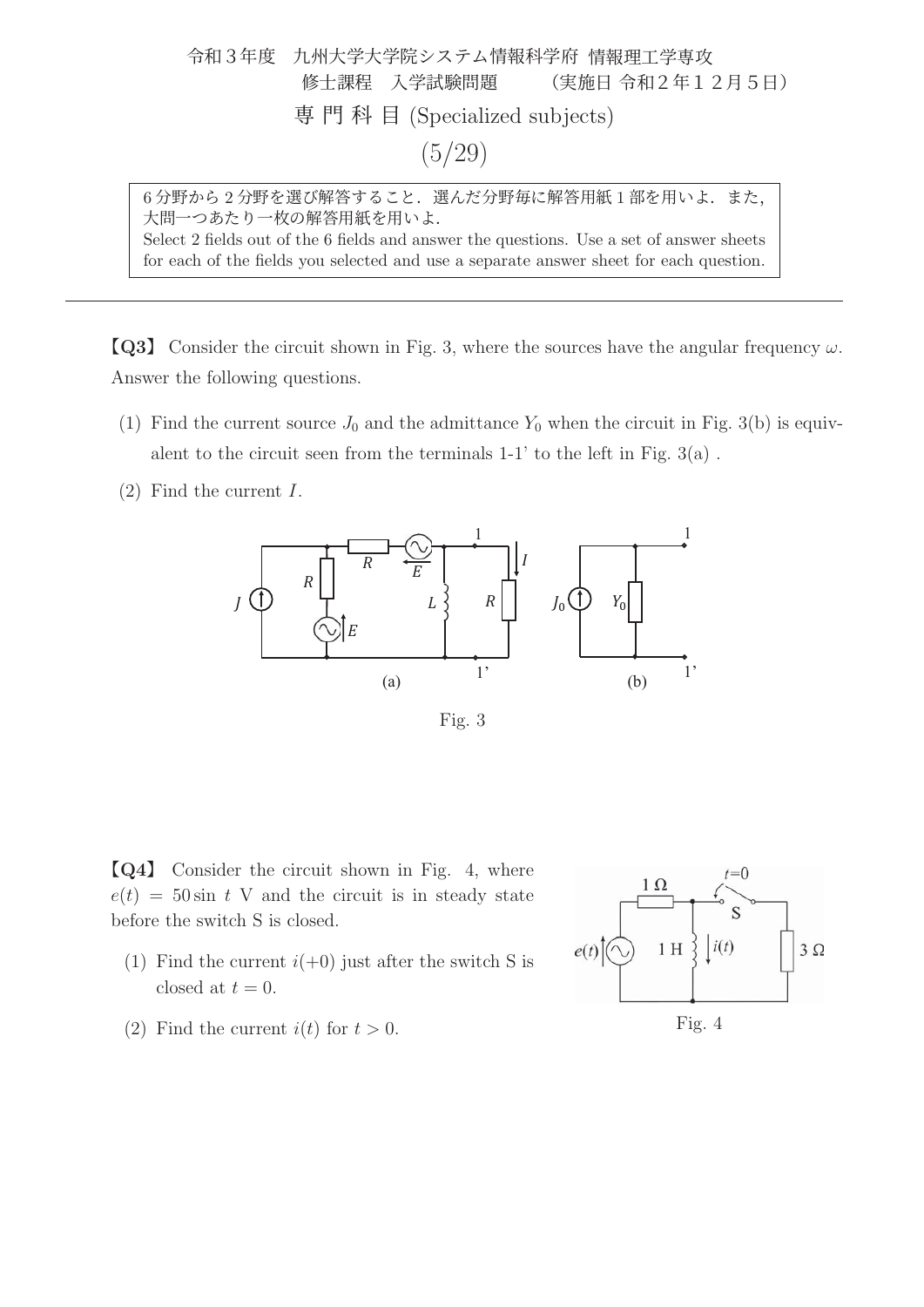

Select 2 fields out of the 6 fields and answer the questions. Use a set of answer sheets for each of the fields you selected and use a separate answer sheet for each question.

**[Q3]** Consider the circuit shown in Fig. 3, where the sources have the angular frequency  $\omega$ . Answer the following questions.

- (1) Find the current source  $J_0$  and the admittance  $Y_0$  when the circuit in Fig. 3(b) is equivalent to the circuit seen from the terminals  $1-1$ ' to the left in Fig.  $3(a)$ .
- (2) Find the current I.



Fig. 3

【**Q4**】 Consider the circuit shown in Fig. 4, where  $e(t) = 50 \sin t$  V and the circuit is in steady state before the switch S is closed.

- (1) Find the current  $i(+0)$  just after the switch S is closed at  $t = 0$ .
- (2) Find the current  $i(t)$  for  $t > 0$ .

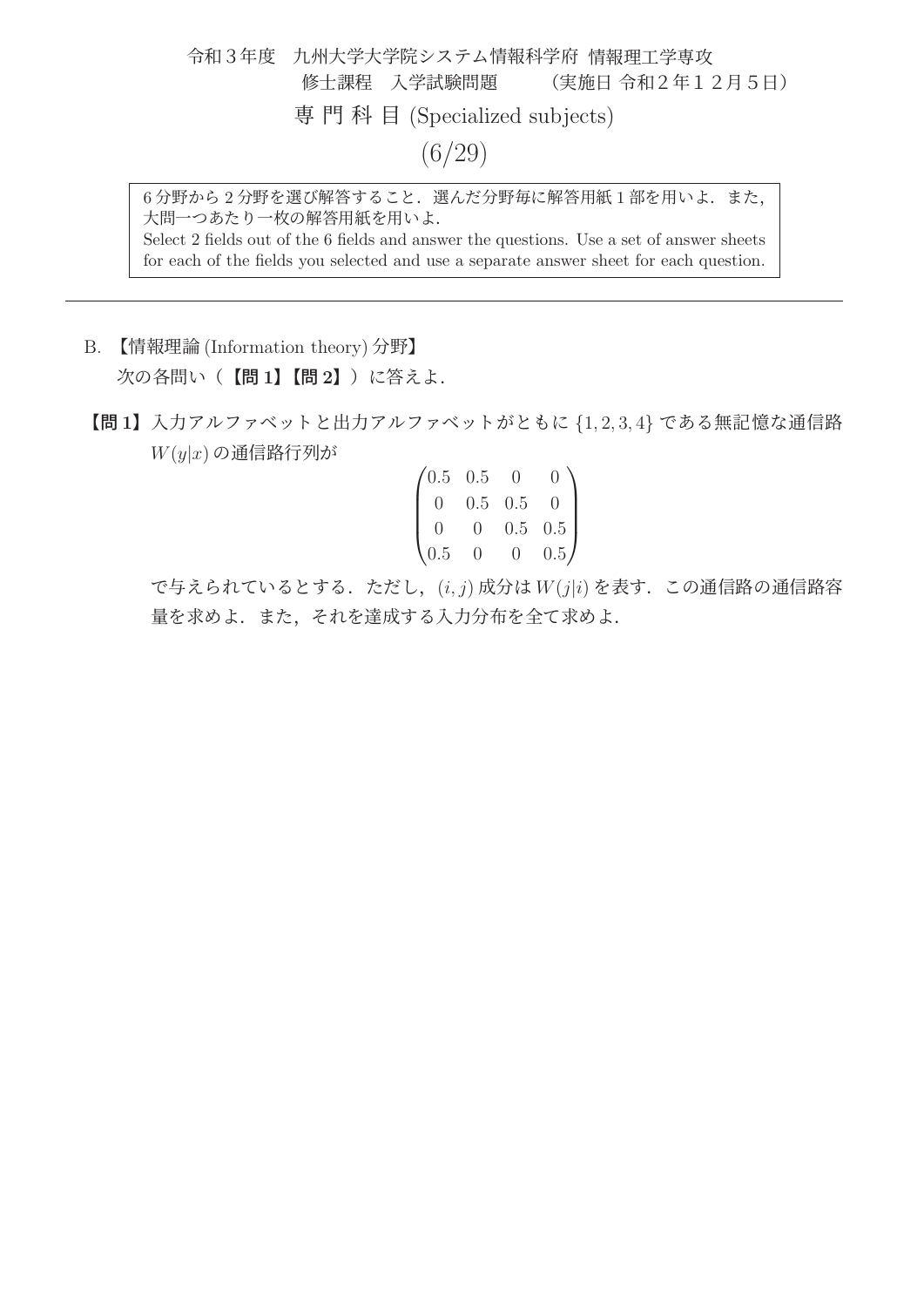令和3年度 九州大学大学院システム情報科学府 情報理工学専攻 修士課程 入学試験問題 (実施日 令和2年12月5日) 専門科目 (Specialized subjects) (6/29)

6分野から2分野を選び解答すること. 選んだ分野毎に解答用紙1部を用いよ. また, 大問一つあたり一枚の解答用紙を用いよ.

Select 2 fields out of the 6 fields and answer the questions. Use a set of answer sheets for each of the fields you selected and use a separate answer sheet for each question.

- B. 【情報理論 (Information theory) 分野】 次の各問い(【問 **1**】【問 **2**】)に答えよ.
- 【問 **<sup>1</sup>**】入力アルファベットと出力アルファベットがともに {1, <sup>2</sup>, <sup>3</sup>, <sup>4</sup>} である無記憶な通信路  $W(y|x)$ の通信路行列が

$$
\begin{pmatrix}\n0.5 & 0.5 & 0 & 0 \\
0 & 0.5 & 0.5 & 0 \\
0 & 0 & 0.5 & 0.5 \\
0.5 & 0 & 0 & 0.5\n\end{pmatrix}
$$

で与えられているとする.ただし、 $(i, j)$  成分は  $W(j|i)$  を表す. この通信路の通信路容 量を求めよ.また,それを達成する入力分布を全て求めよ.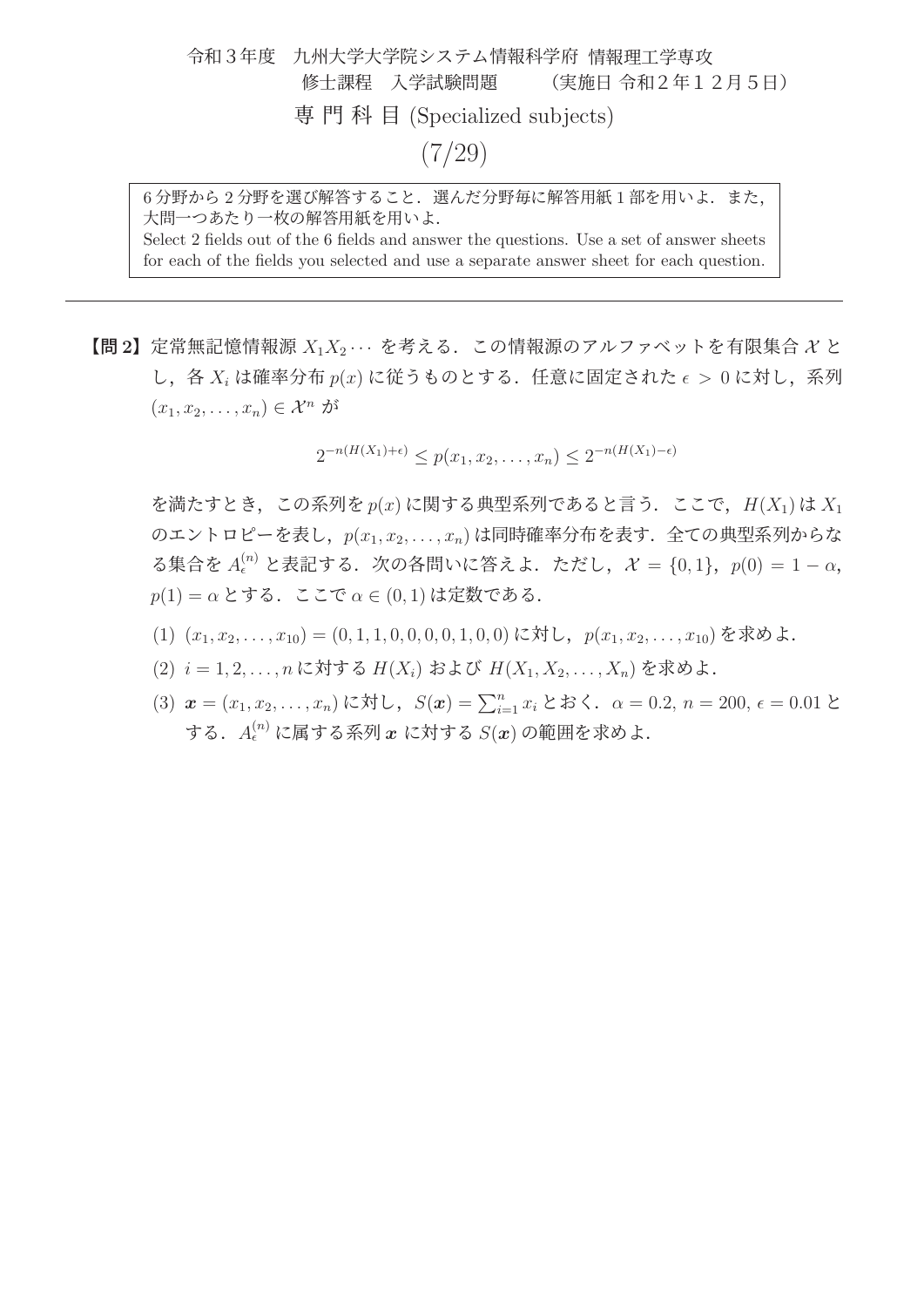## 令和3年度 九州大学大学院システム情報科学府 情報理工学専攻 修士課程 入学試験問題 (実施日 令和2年12月5日) 専門科目 (Specialized subjects)  $(7/29)$

6分野から2分野を選び解答すること. 選んだ分野毎に解答用紙1部を用いよ. また, 大問一つあたり一枚の解答用紙を用いよ. Select 2 fields out of the 6 fields and answer the questions. Use a set of answer sheets

for each of the fields you selected and use a separate answer sheet for each question.

【問 **<sup>2</sup>**】定常無記憶情報源 <sup>X</sup>1X<sup>2</sup> ··· を考える.この情報源のアルファベットを有限集合 <sup>X</sup> <sup>と</sup> し、各  $X_i$ は確率分布  $p(x)$ に従うものとする. 任意に固定された $\epsilon > 0$ に対し、系列  $(x_1, x_2, \ldots, x_n) \in \mathcal{X}^n$  が

 $2^{-n(H(X_1)+\epsilon)} < p(x_1, x_2, \ldots, x_n) < 2^{-n(H(X_1)-\epsilon)}$ 

を満たすとき、この系列を  $p(x)$  に関する典型系列であると言う. ここで,  $H(X_1)$  は  $X_1$ のエントロピーを表し、 $p(x_1, x_2, \ldots, x_n)$ は同時確率分布を表す. 全ての典型系列からな る集合を  $A_{\epsilon}^{(n)}$  と表記する. 次の各問いに答えよ. ただし,  $\mathcal{X} = \{0, 1\}$ ,  $p(0) = 1 - \alpha$ ,  $p(1) = \alpha$  とする. ここで  $\alpha \in (0,1)$  は定数である.

- $(1)$   $(x_1, x_2, \ldots, x_{10}) = (0, 1, 1, 0, 0, 0, 0, 1, 0, 0)$ に対し,  $p(x_1, x_2, \ldots, x_{10})$ を求めよ.
- $(2)$   $i = 1, 2, \ldots, n$  に対する  $H(X_i)$  および  $H(X_1, X_2, \ldots, X_n)$  を求めよ.
- (3)  $\mathbf{x} = (x_1, x_2, \ldots, x_n)$ に対し,  $S(\mathbf{x}) = \sum_{i=1}^n x_i \geq 3$ .  $\alpha = 0.2, n = 200, \epsilon = 0.01$ する.A(n) に属する系列 *x* に対する S(*x*) の範囲を求めよ.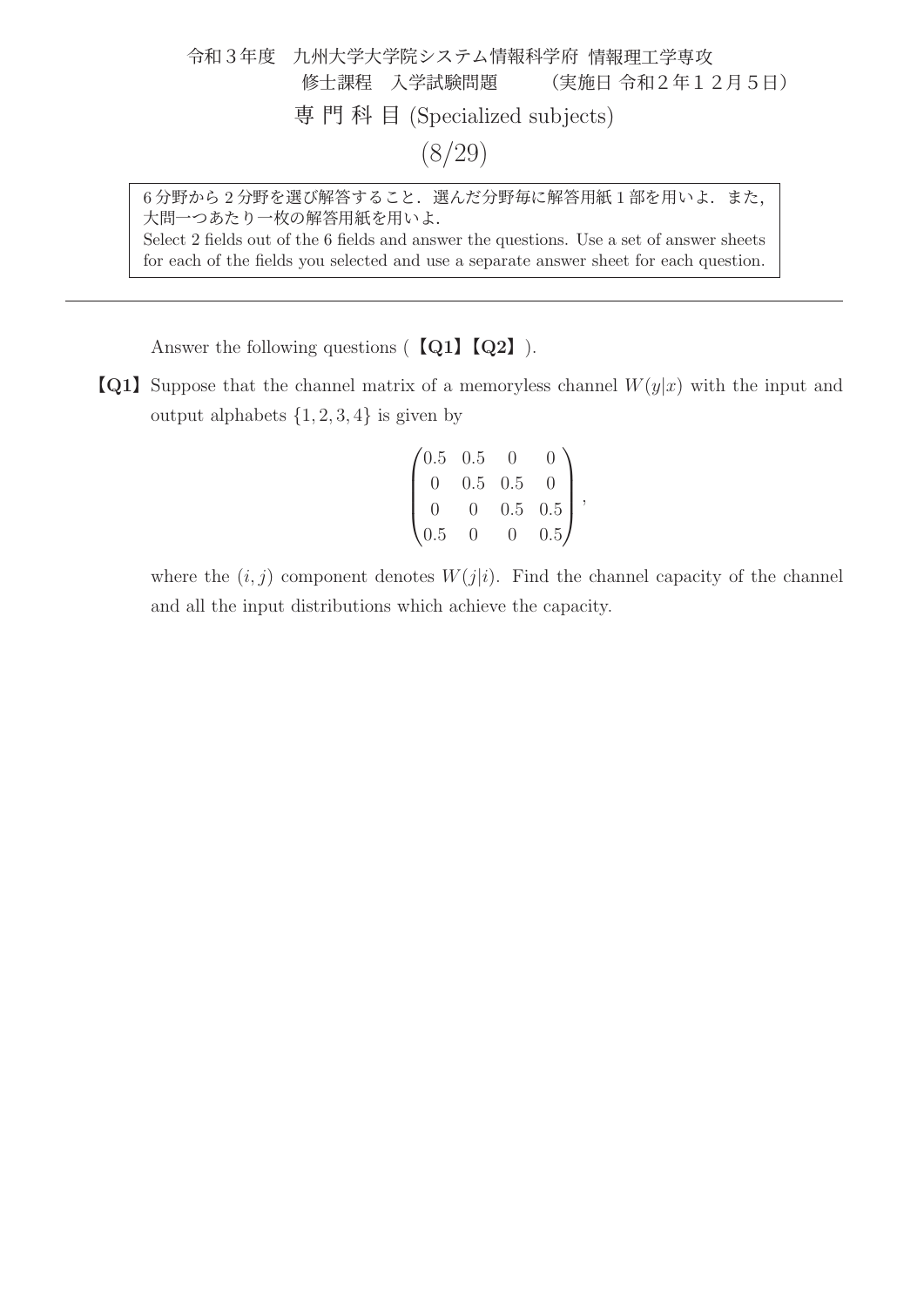令和3年度 九州大学大学院システム情報科学府 情報理工学専攻 修士課程 入学試験問題 (実施日 令和2年12月5日) 専門科目 (Specialized subjects) (8/29)

6分野から2分野を選び解答すること. 選んだ分野毎に解答用紙1部を用いよ. また, 大問一つあたり一枚の解答用紙を用いよ. Select 2 fields out of the 6 fields and answer the questions. Use a set of answer sheets for each of the fields you selected and use a separate answer sheet for each question.

Answer the following questions (【**Q1**】【**Q2**】).

**[Q1]** Suppose that the channel matrix of a memoryless channel  $W(y|x)$  with the input and output alphabets  $\{1, 2, 3, 4\}$  is given by

$$
\begin{pmatrix} 0.5 & 0.5 & 0 & 0 \\ 0 & 0.5 & 0.5 & 0 \\ 0 & 0 & 0.5 & 0.5 \\ 0.5 & 0 & 0 & 0.5 \end{pmatrix},
$$

where the  $(i, j)$  component denotes  $W(j|i)$ . Find the channel capacity of the channel and all the input distributions which achieve the capacity.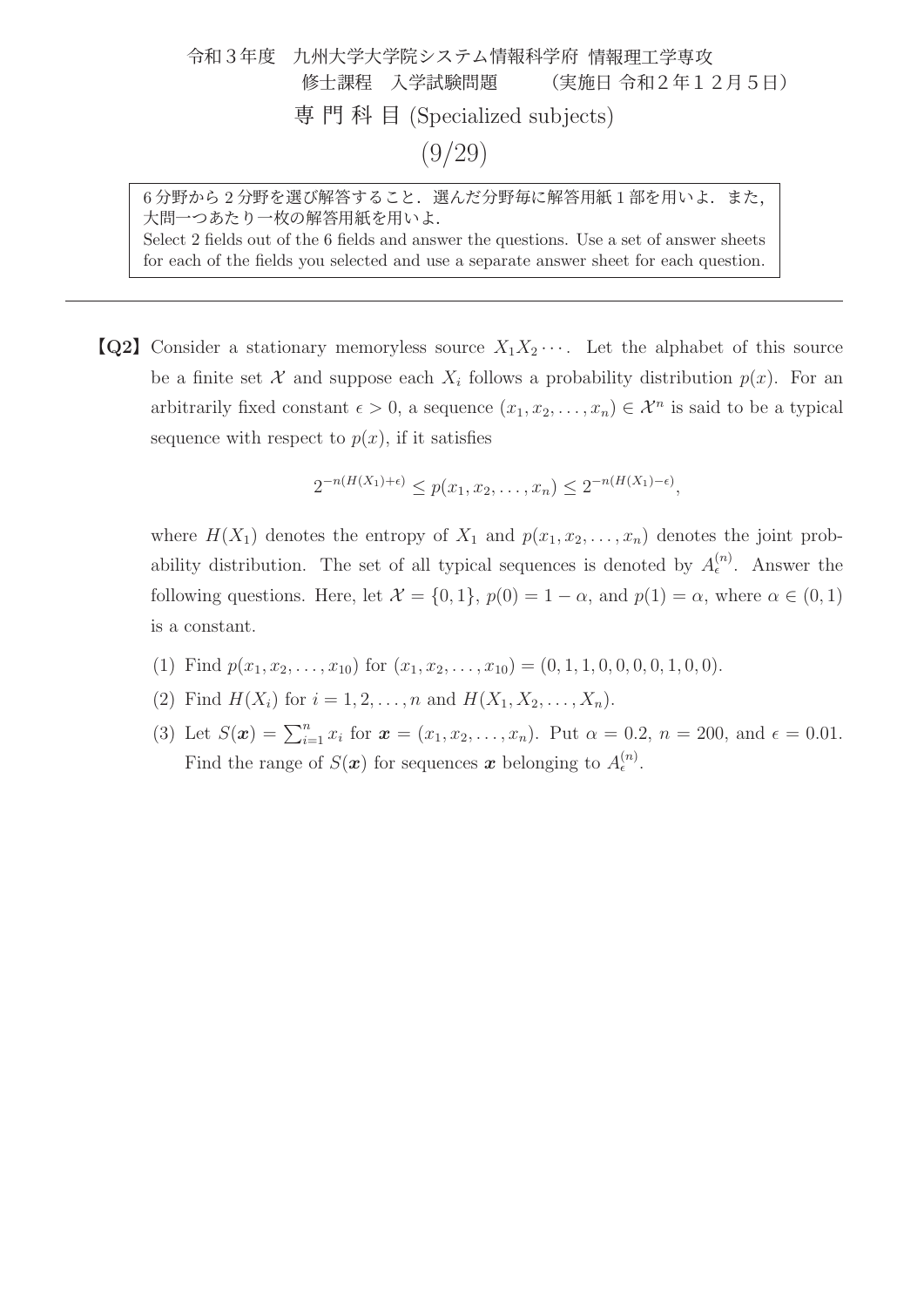令和3年度 九州大学大学院システム情報科学府 情報理工学専攻 修士課程 入学試験問題 (実施日 令和2年12月5日) 専門科目 (Specialized subjects) (9/29)

6分野から2分野を選び解答すること. 選んだ分野毎に解答用紙1部を用いよ. また, 大問一つあたり一枚の解答用紙を用いよ. Select 2 fields out of the 6 fields and answer the questions. Use a set of answer sheets for each of the fields you selected and use a separate answer sheet for each question.

**[Q2]** Consider a stationary memoryless source  $X_1X_2\cdots$ . Let the alphabet of this source be a finite set X and suppose each  $X_i$  follows a probability distribution  $p(x)$ . For an arbitrarily fixed constant  $\epsilon > 0$ , a sequence  $(x_1, x_2, \ldots, x_n) \in \mathcal{X}^n$  is said to be a typical sequence with respect to  $p(x)$ , if it satisfies

$$
2^{-n(H(X_1)+\epsilon)} \le p(x_1, x_2, \dots, x_n) \le 2^{-n(H(X_1)-\epsilon)},
$$

where  $H(X_1)$  denotes the entropy of  $X_1$  and  $p(x_1, x_2, \ldots, x_n)$  denotes the joint probability distribution. The set of all typical sequences is denoted by  $A_{\epsilon}^{(n)}$ . Answer the following questions. Here, let  $\mathcal{X} = \{0, 1\}$ ,  $p(0) = 1 - \alpha$ , and  $p(1) = \alpha$ , where  $\alpha \in (0, 1)$ is a constant.

- (1) Find  $p(x_1, x_2,...,x_{10})$  for  $(x_1, x_2,...,x_{10}) = (0, 1, 1, 0, 0, 0, 0, 1, 0, 0).$
- (2) Find  $H(X_i)$  for  $i = 1, 2, ..., n$  and  $H(X_1, X_2, ..., X_n)$ .
- (3) Let  $S(\mathbf{x}) = \sum_{i=1}^{n} x_i$  for  $\mathbf{x} = (x_1, x_2, \dots, x_n)$ . Put  $\alpha = 0.2$ ,  $n = 200$ , and  $\epsilon = 0.01$ . Find the range of  $S(\mathbf{x})$  for sequences  $\mathbf{x}$  belonging to  $A_{\epsilon}^{(n)}$ .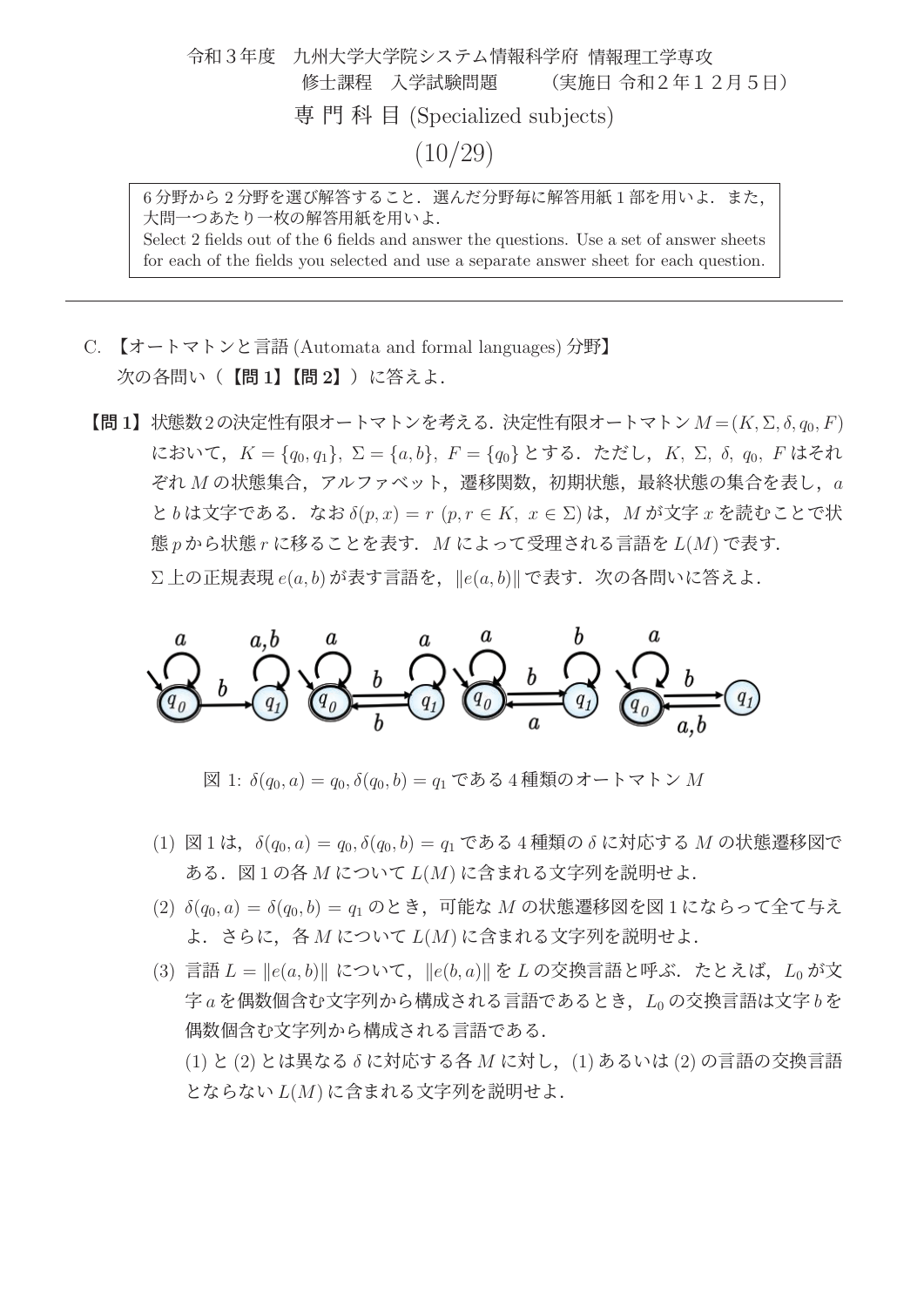令和3年度 九州大学大学院システム情報科学府 情報理工学専攻 修士課程 入学試験問題 (実施日 令和2年12月5日) 専門科目 (Specialized subjects)  $(10/29)$ 

6分野から2分野を選び解答すること. 選んだ分野毎に解答用紙1部を用いよ. また, 大問一つあたり一枚の解答用紙を用いよ. Select 2 fields out of the 6 fields and answer the questions. Use a set of answer sheets for each of the fields you selected and use a separate answer sheet for each question.

- C. 【オートマトンと言語 (Automata and formal languages) 分野】 次の各問い(【問 **1**】【問 **2**】)に答えよ.
- 【問 **<sup>1</sup>**】状態数2の決定性有限オートマトンを考える.決定性有限オートマトン<sup>M</sup> = (K, <sup>Σ</sup>, δ, q0, F) において,  $K = \{q_0, q_1\}, \Sigma = \{a, b\}, F = \{q_0\}$  とする. ただし,  $K$ ,  $\Sigma$ ,  $\delta$ ,  $q_0$ ,  $F$  はそれ  $\mathcal{E}$ れ  $M$  の状態集合, アルファベット, 遷移関数, 初期状態, 最終状態の集合を表し,  $a$ と b は文字である. なお  $\delta(p,x) = r(p,r \in K, x \in \Sigma)$  は, M が文字 x を読むことで状 態 $p \, \hat{p}$  から状態 $r$ に移ることを表す.  $M$  によって受理される言語を  $L(M)$  で表す.  $\Sigma$ 上の正規表現 e(a, b) が表す言語を,  $||e(a, b)||$  で表す. 次の各問いに答えよ.



図 1:  $\delta(q_0, a) = q_0, \delta(q_0, b) = q_1 \, \mathfrak{C} \, \delta \mathfrak{S} \, 4$  種類のオートマトン  $M$ 

- (1) 図 1 は,  $\delta(q_0, a) = q_0, \delta(q_0, b) = q_1 \, \tilde{\mathcal{C}}$ ある 4 種類の  $\delta$  に対応する M の状態遷移図で ある. 図1の各 $M$ について $L(M)$ に含まれる文字列を説明せよ.
- (2)  $\delta(q_0, a) = \delta(q_0, b) = q_1 \odot b$ とき、可能な M の状態遷移図を図1にならって全て与え よ.さらに,各 M について L(M) に含まれる文字列を説明せよ.
- (3) 言語  $L = ||e(a, b)||$  について,  $||e(b, a)|| \geq L$  の交換言語と呼ぶ. たとえば,  $L_0$  が文 字 $a$ を偶数個含む文字列から構成される言語であるとき,  $L_0$ の交換言語は文字 $b$ を 偶数個含む文字列から構成される言語である. (1) と (2) とは異なる δ に対応する各 M に対し,(1) あるいは (2) の言語の交換言語 とならない L(M) に含まれる文字列を説明せよ.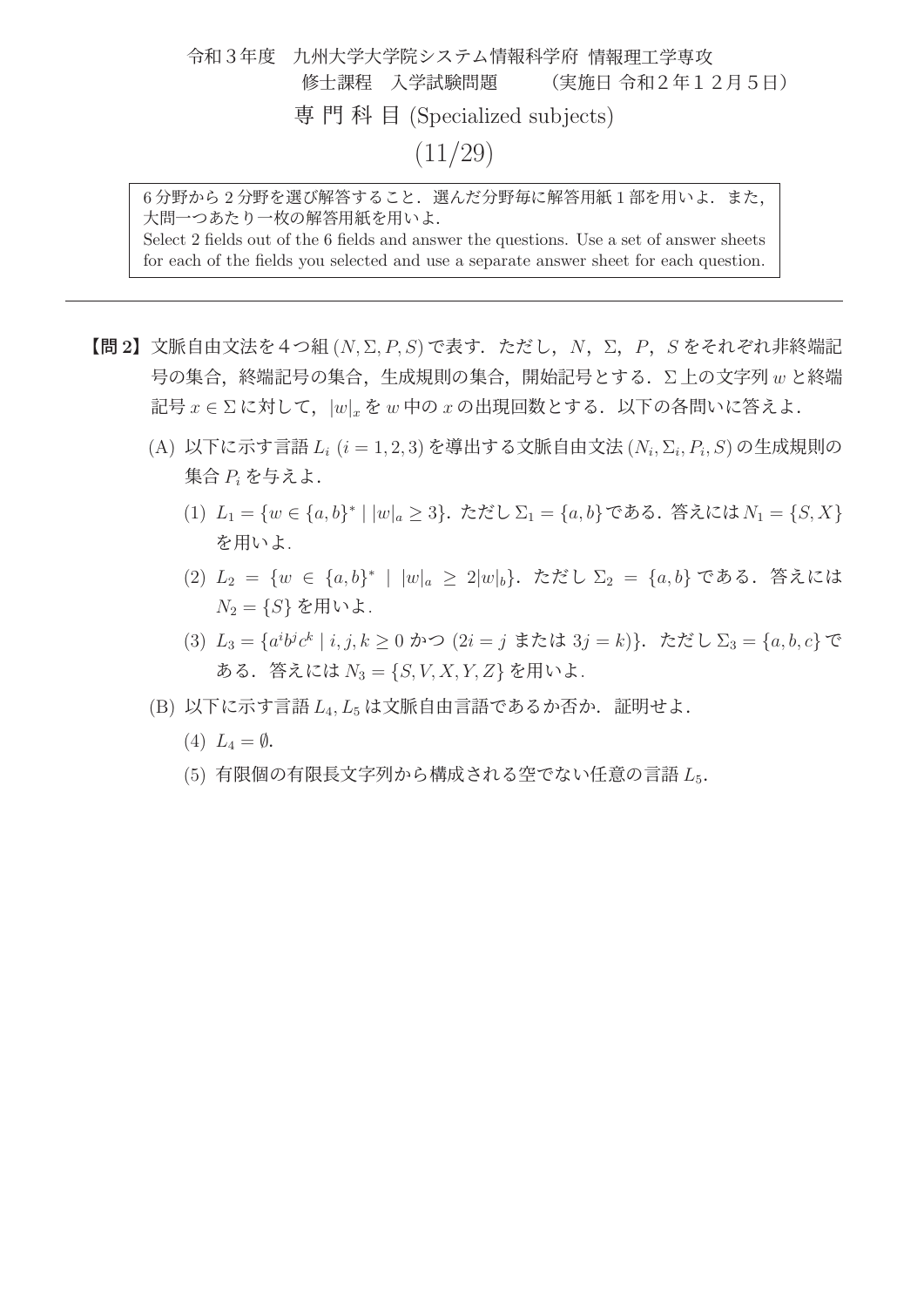令和3年度 九州大学大学院システム情報科学府 情報理工学専攻 修士課程 入学試験問題 (実施日 令和2年12月5日) 専門科目 (Specialized subjects)  $(11/29)$ 

6分野から2分野を選び解答すること. 選んだ分野毎に解答用紙1部を用いよ. また, 大問一つあたり一枚の解答用紙を用いよ. Select 2 fields out of the 6 fields and answer the questions. Use a set of answer sheets for each of the fields you selected and use a separate answer sheet for each question.

- 【問 **2**】文脈自由文法を4つ組 (N, <sup>Σ</sup>, P, S) で表す.ただし,N,Σ,P,<sup>S</sup> をそれぞれ非終端記 号の集合, 終端記号の集合, 生成規則の集合, 開始記号とする. ∑上の文字列 w と終端 記号  $x \in \Sigma$  に対して,  $|w|_x \geq w$  中の  $x$  の出現回数とする. 以下の各問いに答えよ.
	- (A) 以下に示す言語  $L_i$  ( $i = 1, 2, 3$ ) を導出する文脈自由文法 ( $N_i$ ,  $\Sigma_i$ ,  $P_i$ ,  $S$ ) の生成規則の 集合 P<sup>i</sup> を与えよ.
		- (1)  $L_1 = \{w \in \{a, b\}^* \mid |w|_a \geq 3\}$ . ただし $\Sigma_1 = \{a, b\}$ である. 答えには $N_1 = \{S, X\}$ を用いよ.
		- (2)  $L_2 = \{w \in \{a, b\}^* \mid |w|_a > 2|w|_b\}$ . ただし  $\Sigma_2 = \{a, b\}$  である. 答えには  $N_2 = \{S\}$ を用いよ.
		- (3)  $L_3 = \{a^i b^j c^k \mid i, j, k \ge 0 \text{ and } (2i = j \text{ if } k \in \{3j = k\})\}$ . ただし $\Sigma_3 = \{a, b, c\}$ で ある. 答えには  $N_3 = \{S, V, X, Y, Z\}$  を用いよ.
	- $(B)$  以下に示す言語 $L_4$ , $L_5$ は文脈自由言語であるか否か. 証明せよ.
		- (4)  $L_4 = \emptyset$ .
		- (5) 有限個の有限長文字列から構成される空でない任意の言語 L<sub>5</sub>.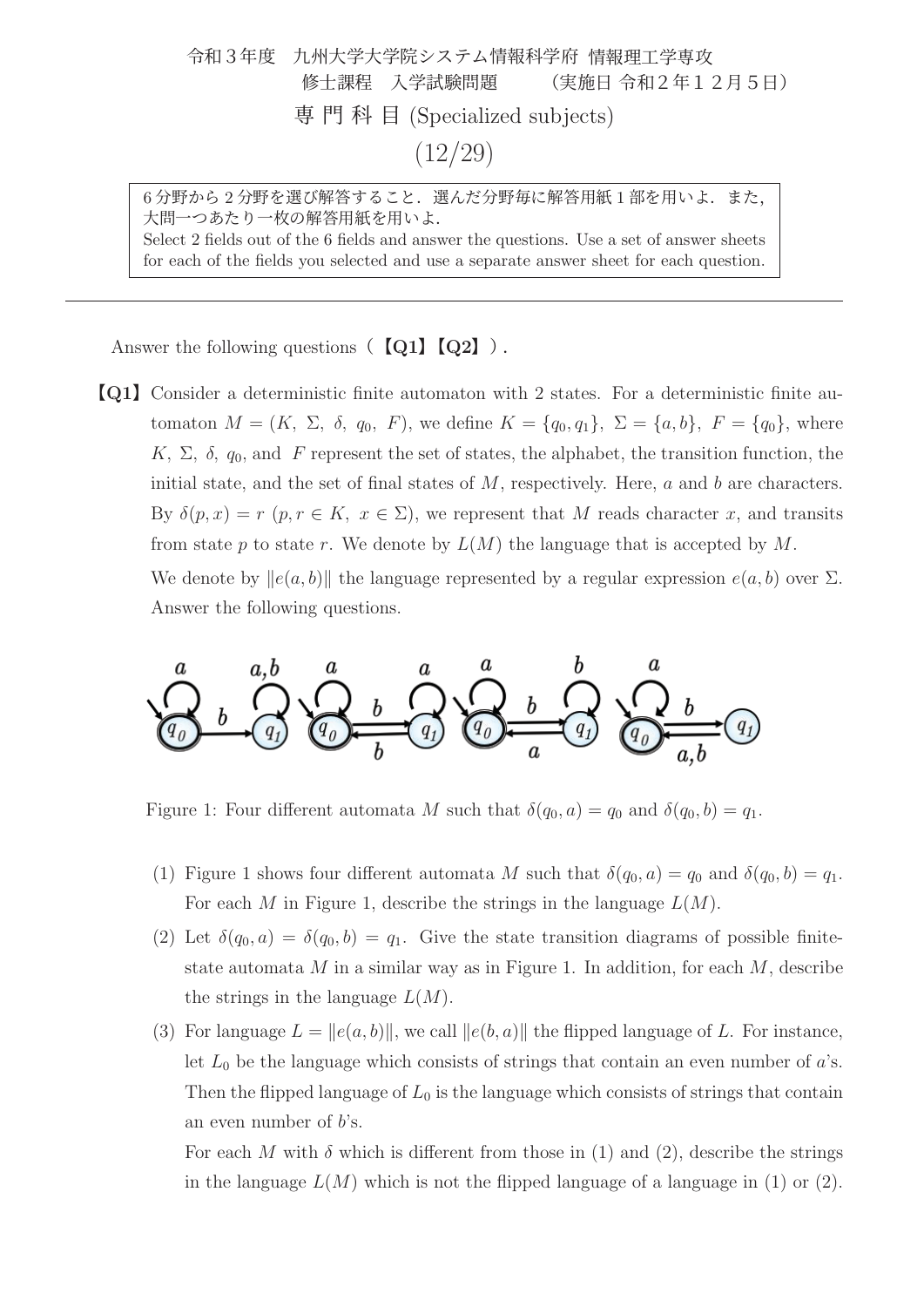令和3年度 九州大学大学院システム情報科学府 情報理工学専攻 修士課程 入学試験問題 (実施日 令和2年12月5日) 専門科目 (Specialized subjects)  $(12/29)$ 

6分野から2分野を選び解答すること. 選んだ分野毎に解答用紙1部を用いよ. また, 大問一つあたり一枚の解答用紙を用いよ. Select 2 fields out of the 6 fields and answer the questions. Use a set of answer sheets for each of the fields you selected and use a separate answer sheet for each question.

Answer the following questions(【**Q1**】【**Q2**】).

【**Q1**】Consider a deterministic finite automaton with 2 states. For a deterministic finite automaton  $M = (K, \Sigma, \delta, q_0, F)$ , we define  $K = \{q_0, q_1\}, \Sigma = \{a, b\}, F = \{q_0\}$ , where K,  $\Sigma$ ,  $\delta$ ,  $q_0$ , and F represent the set of states, the alphabet, the transition function, the initial state, and the set of final states of  $M$ , respectively. Here,  $a$  and  $b$  are characters. By  $\delta(p,x) = r$   $(p, r \in K, x \in \Sigma)$ , we represent that M reads character x, and transits from state p to state r. We denote by  $L(M)$  the language that is accepted by M.

We denote by  $||e(a, b)||$  the language represented by a regular expression  $e(a, b)$  over  $\Sigma$ . Answer the following questions.



Figure 1: Four different automata M such that  $\delta(q_0, a) = q_0$  and  $\delta(q_0, b) = q_1$ .

- (1) Figure 1 shows four different automata M such that  $\delta(q_0, a) = q_0$  and  $\delta(q_0, b) = q_1$ . For each M in Figure 1, describe the strings in the language  $L(M)$ .
- (2) Let  $\delta(q_0, a) = \delta(q_0, b) = q_1$ . Give the state transition diagrams of possible finitestate automata  $M$  in a similar way as in Figure 1. In addition, for each  $M$ , describe the strings in the language  $L(M)$ .
- (3) For language  $L = ||e(a, b)||$ , we call  $||e(b, a)||$  the flipped language of L. For instance, let  $L_0$  be the language which consists of strings that contain an even number of  $a$ 's. Then the flipped language of  $L_0$  is the language which consists of strings that contain an even number of  $b$ 's.

For each M with  $\delta$  which is different from those in (1) and (2), describe the strings in the language  $L(M)$  which is not the flipped language of a language in (1) or (2).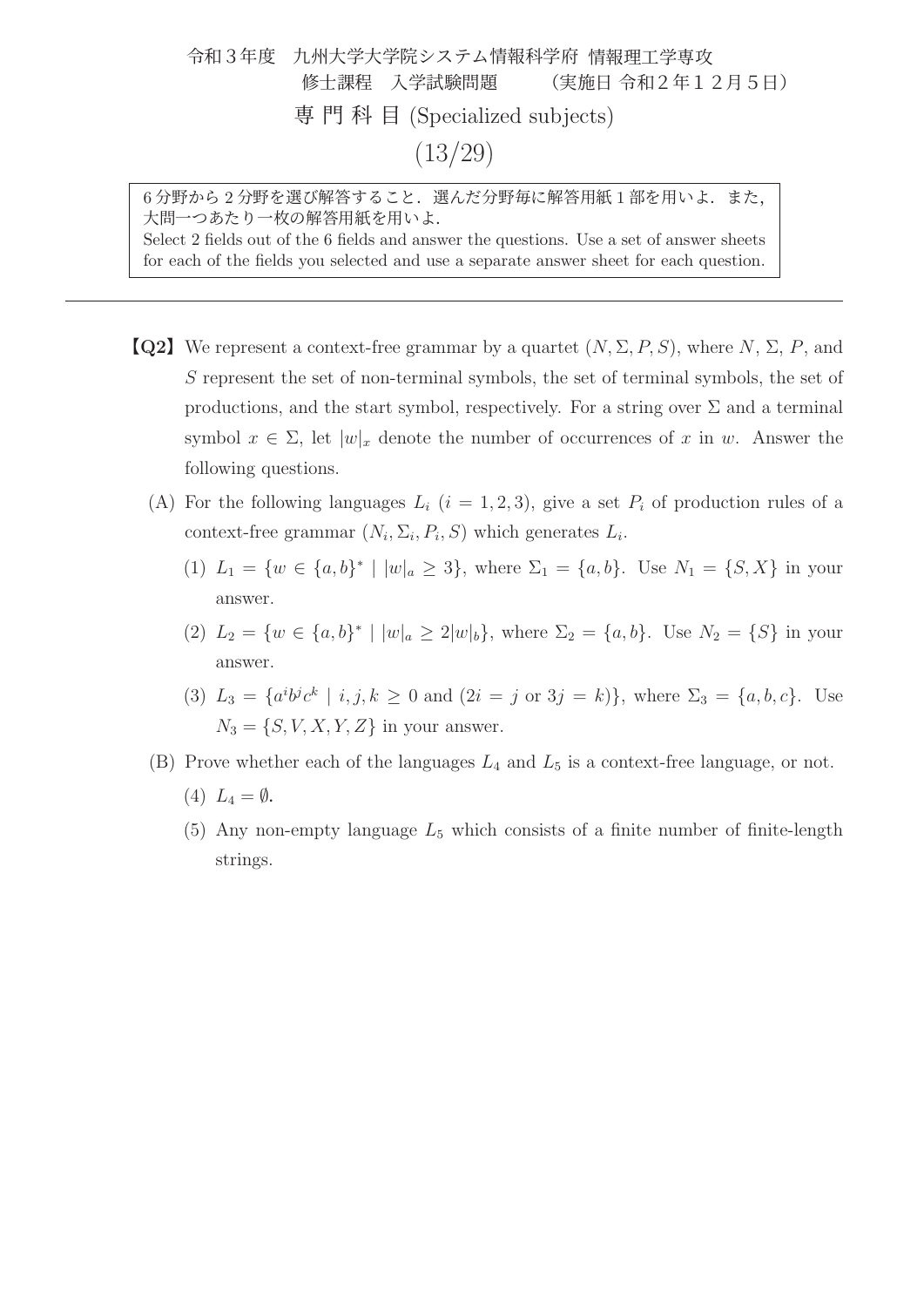#### 令和3年度 九州大学大学院システム情報科学府 情報理工学専攻 修士課程 入学試験問題 (実施日 令和2年12月5日) 専門科目 (Specialized subjects) (13/29)

6分野から2分野を選び解答すること. 選んだ分野毎に解答用紙1部を用いよ. また, 大問一つあたり一枚の解答用紙を用いよ. Select 2 fields out of the 6 fields and answer the questions. Use a set of answer sheets for each of the fields you selected and use a separate answer sheet for each question.

- **[Q2]** We represent a context-free grammar by a quartet  $(N, \Sigma, P, S)$ , where  $N, \Sigma, P$ , and S represent the set of non-terminal symbols, the set of terminal symbols, the set of productions, and the start symbol, respectively. For a string over  $\Sigma$  and a terminal symbol  $x \in \Sigma$ , let  $|w|_x$  denote the number of occurrences of x in w. Answer the following questions.
	- (A) For the following languages  $L_i$   $(i = 1, 2, 3)$ , give a set  $P_i$  of production rules of a context-free grammar  $(N_i, \Sigma_i, P_i, S)$  which generates  $L_i$ .
		- (1)  $L_1 = \{w \in \{a, b\}^* \mid |w|_a \geq 3\}$ , where  $\Sigma_1 = \{a, b\}$ . Use  $N_1 = \{S, X\}$  in your answer.
		- (2)  $L_2 = \{w \in \{a, b\}^* \mid |w|_a \geq 2|w|_b\}$ , where  $\Sigma_2 = \{a, b\}$ . Use  $N_2 = \{S\}$  in your answer.
		- (3)  $L_3 = \{a^i b^j c^k \mid i, j, k \ge 0 \text{ and } (2i = j \text{ or } 3j = k)\}\$ , where  $\Sigma_3 = \{a, b, c\}$ . Use  $N_3 = \{S, V, X, Y, Z\}$  in your answer.
	- (B) Prove whether each of the languages  $L_4$  and  $L_5$  is a context-free language, or not.
		- (4)  $L_4 = \emptyset$ .
		- (5) Any non-empty language  $L_5$  which consists of a finite number of finite-length strings.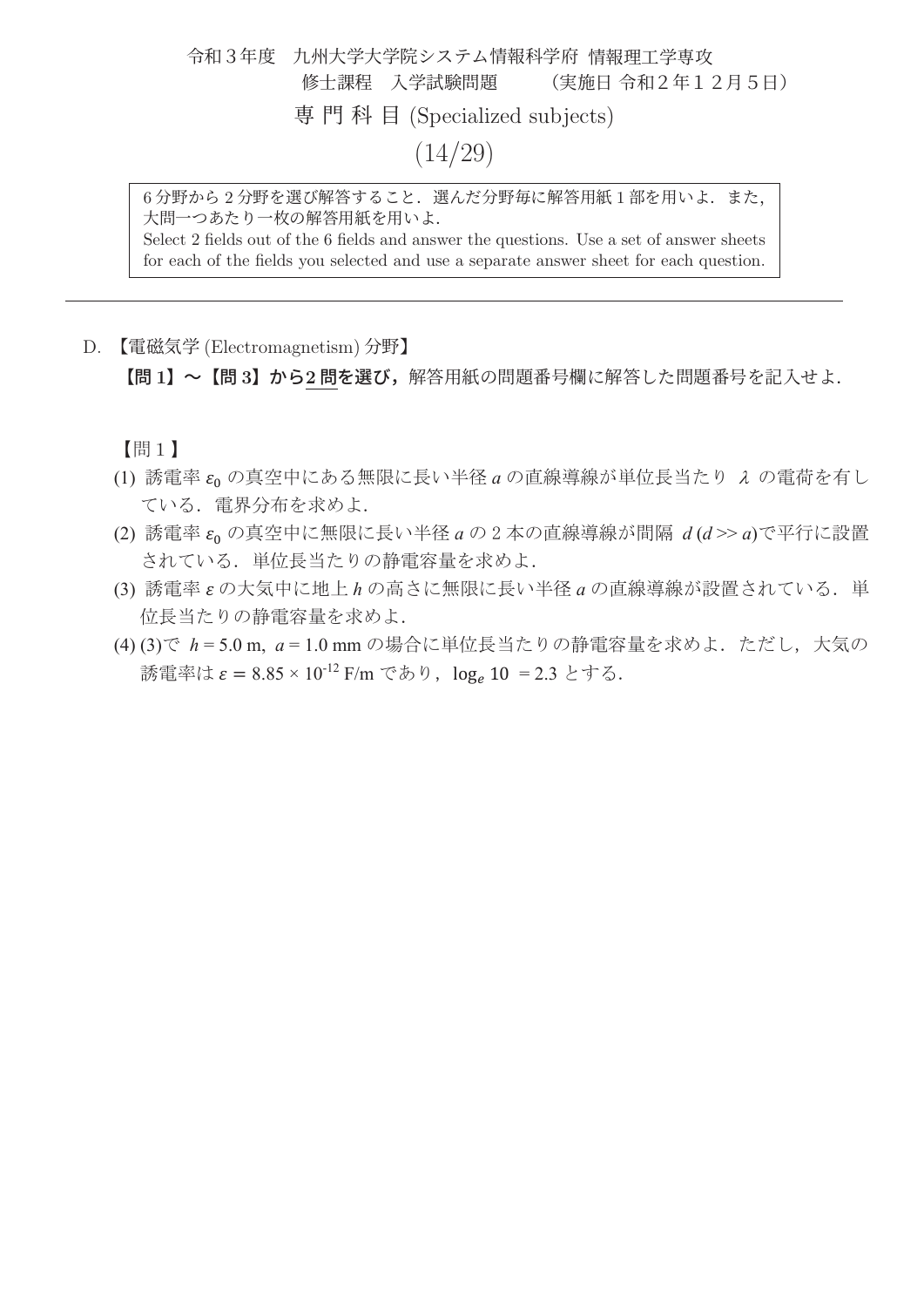## 令和3年度 九州大学大学院システム情報科学府 情報理工学専攻 修士課程 入学試験問題 (実施日 令和2年12月5日) 専門科目 (Specialized subjects)  $(14/29)$

6分野から2分野を選び解答すること. 選んだ分野毎に解答用紙1部を用いよ. また, 大問一つあたり一枚の解答用紙を用いよ.

Select 2 fields out of the 6 fields and answer the questions. Use a set of answer sheets for each of the fields you selected and use a separate answer sheet for each question.

D. 【電磁気学 (Electromagnetism) 分野】

【問 **1**】~【問 **3**】から**2** 問を選び,解答用紙の問題番号欄に解答した問題番号を記入せよ.

【間1】

- (1) 誘電率 ε<sub>0</sub> の真空中にある無限に長い半径 a の直線導線が単位長当たり λ の電荷を有し ている. 電界分布を求めよ.
- (2) 誘電率 ερ の真空中に無限に長い半径 a の 2 本の直線導線が間隔 d(d >> a)で平行に設置 されている. 単位長当たりの静電容量を求めよ.
- (3) 誘電率 εの大気中に地上 h の高さに無限に長い半径 a の直線導線が設置されている. 単 位長当たりの静電容量を求めよ.
- (4) (3) で h = 5.0 m, a = 1.0 mm の場合に単位長当たりの静電容量を求めよ. ただし, 大気の 誘電率は  $\varepsilon = 8.85 \times 10^{-12}$  F/m であり,  $log_e 10 = 2.3$  とする.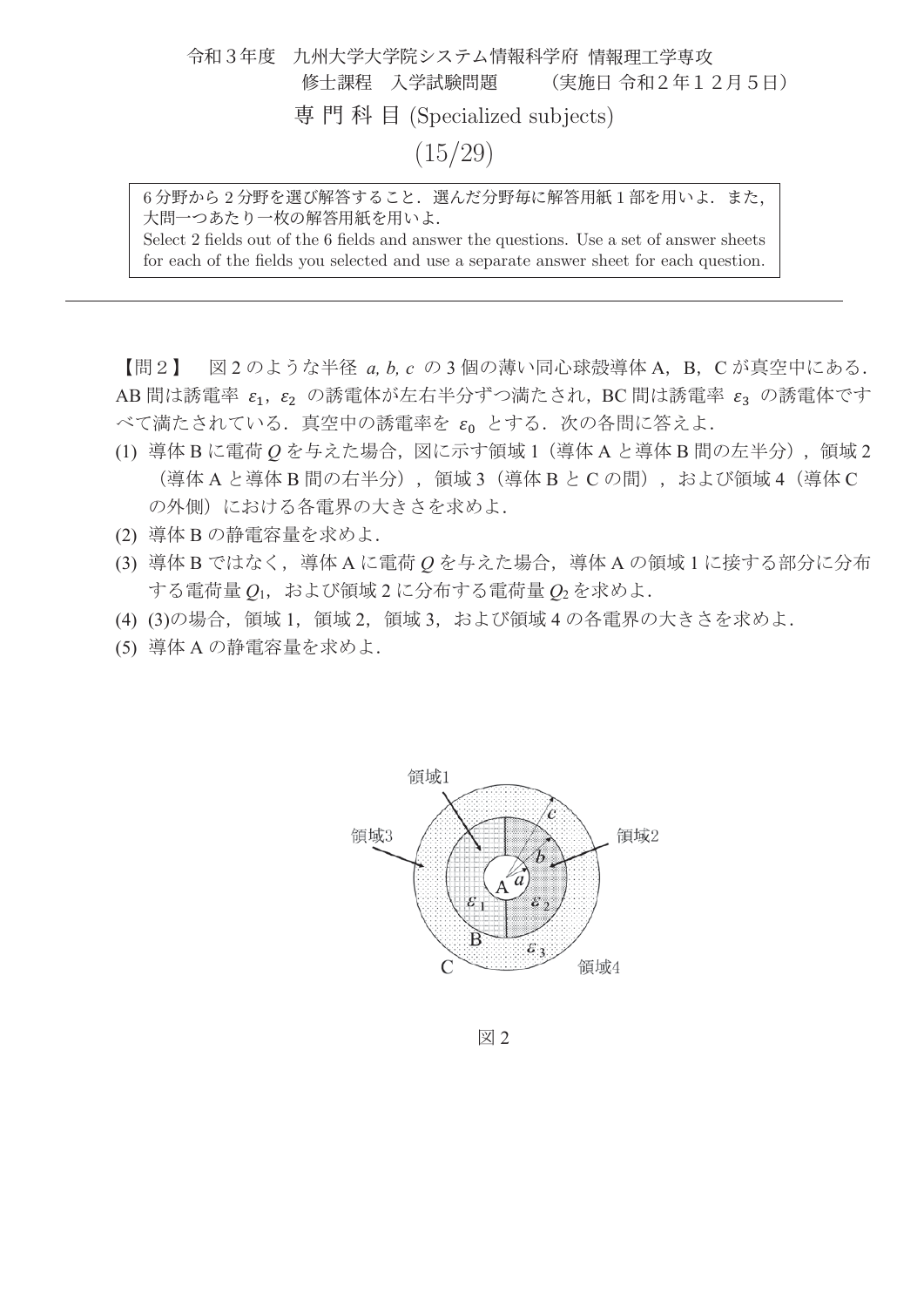# 令和3年度 九州大学大学院システム情報科学府 情報理工学専攻 修士課程 入学試験問題 (実施日 令和2年12月5日) 専門科目 (Specialized subjects)  $(15/29)$

6分野から2分野を選び解答すること. 選んだ分野毎に解答用紙1部を用いよ. また, 大問一つあたり一枚の解答用紙を用いよ. Select 2 fields out of the 6 fields and answer the questions. Use a set of answer sheets

for each of the fields you selected and use a separate answer sheet for each question.

【問2】 図2のような半径 a, b, c の3個の薄い同心球殻導体 A, B, C が真空中にある. AB 間は誘電率  $\varepsilon_1$ ,  $\varepsilon_2$  の誘電体が左右半分ずつ満たされ, BC 間は誘電率  $\varepsilon_3$  の誘電体です べて満たされている.真空中の誘電率を  $\varepsilon_0$  とする.次の各問に答えよ.

- (1) 導体 B に電荷 Q を与えた場合, 図に示す領域 1 (導体 A と導体 B 間の左半分), 領域 2 (導体A と導体B 間の右半分), 領域3 (導体B とCの間), および領域4 (導体C の外側)における各電界の大きさを求めよ.
- (2) 導体Bの静電容量を求めよ.
- (3) 導体B ではなく、導体A に電荷 Q を与えた場合、導体A の領域1に接する部分に分布 する電荷量 Q<sub>1</sub>, および領域2に分布する電荷量 Q2を求めよ.
- (4) (3)の場合、領域 1, 領域 2, 領域 3, および領域 4 の各電界の大きさを求めよ.
- (5) 導体 A の静電容量を求めよ.



図 2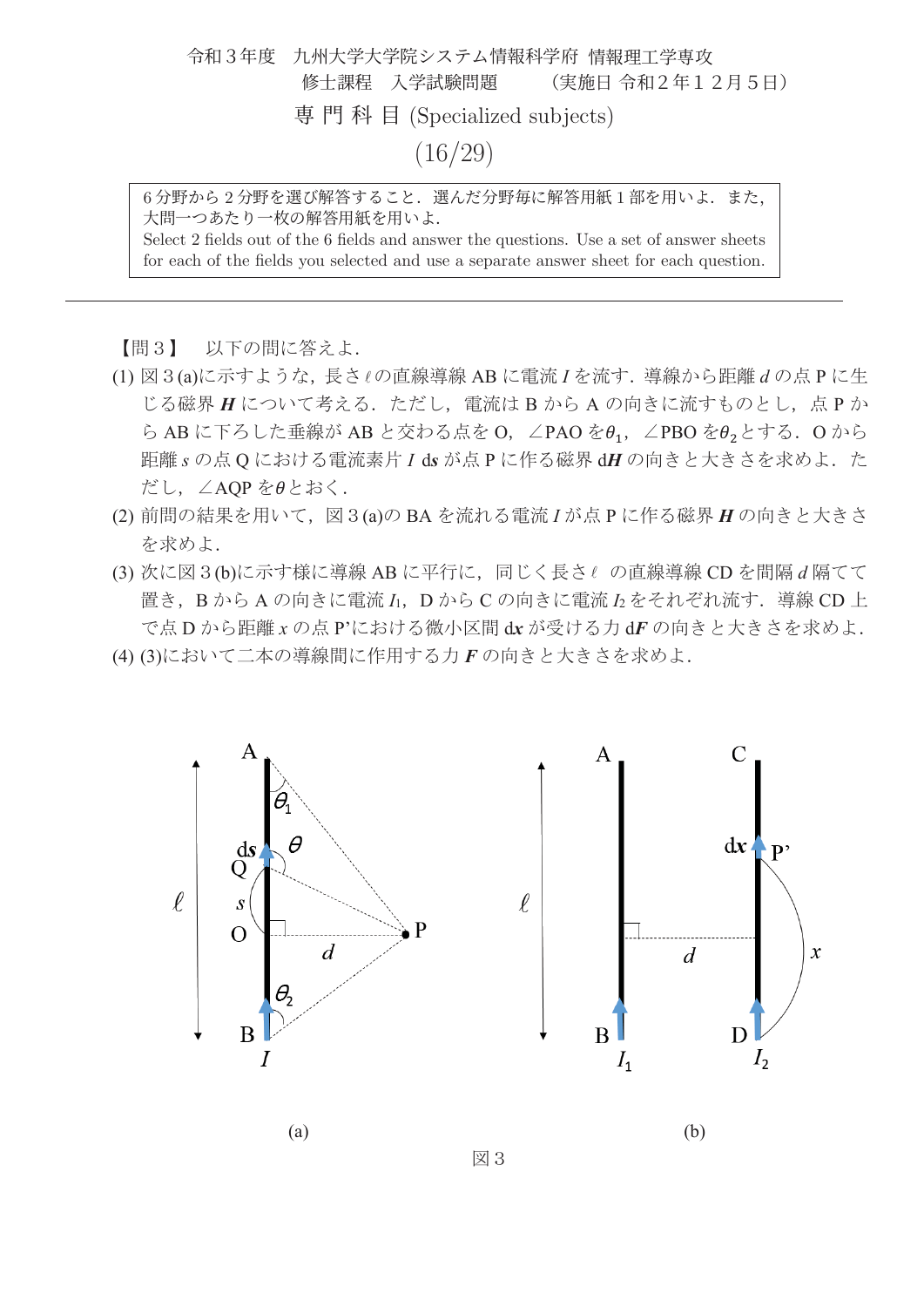# 令和3年度 九州大学大学院システム情報科学府 情報理工学専攻 修士課程 入学試験問題 (実施日 令和2年12月5日) 専門科目 (Specialized subjects) (16/29)

6分野から2分野を選び解答すること. 選んだ分野毎に解答用紙1部を用いよ. また, 大問一つあたり一枚の解答用紙を用いよ. Select 2 fields out of the 6 fields and answer the questions. Use a set of answer sheets

for each of the fields you selected and use a separate answer sheet for each question.

【問3】 以下の問に答えよ.

- (1) 図 3(a)に示すような、長さしの直線導線 AB に電流 I を流す. 導線から距離 d の点 P に生 じる磁界 H について考える. ただし、電流は B から A の向きに流すものとし、点 P か ら AB に下ろした垂線が AB と交わる点を O, ∠PAO をθ<sub>1</sub>, ∠PBO をθ2とする. O から 距離sの点Qにおける電流素片 I ds が点 P に作る磁界 dH の向きと大きさを求めよ. た だし、∠AQP をeとおく.
- (2) 前問の結果を用いて, 図 3(a)の BA を流れる電流 I が点 P に作る磁界 H の向きと大きさ を求めよ.
- (3) 次に図 3 (b)に示す様に導線 AB に平行に、同じく長さしの直線導線 CD を間隔 d 隔てて 置き, B から A の向きに電流 I<sub>1</sub>, D から C の向きに電流 I2 をそれぞれ流す. 導線 CD 上 で点Dから距離xの点P'における微小区間 dx が受ける力 dF の向きと大きさを求めよ.

図3

(4) (3)において二本の導線間に作用する力 F の向きと大きさを求めよ.





 $(a)$  (b)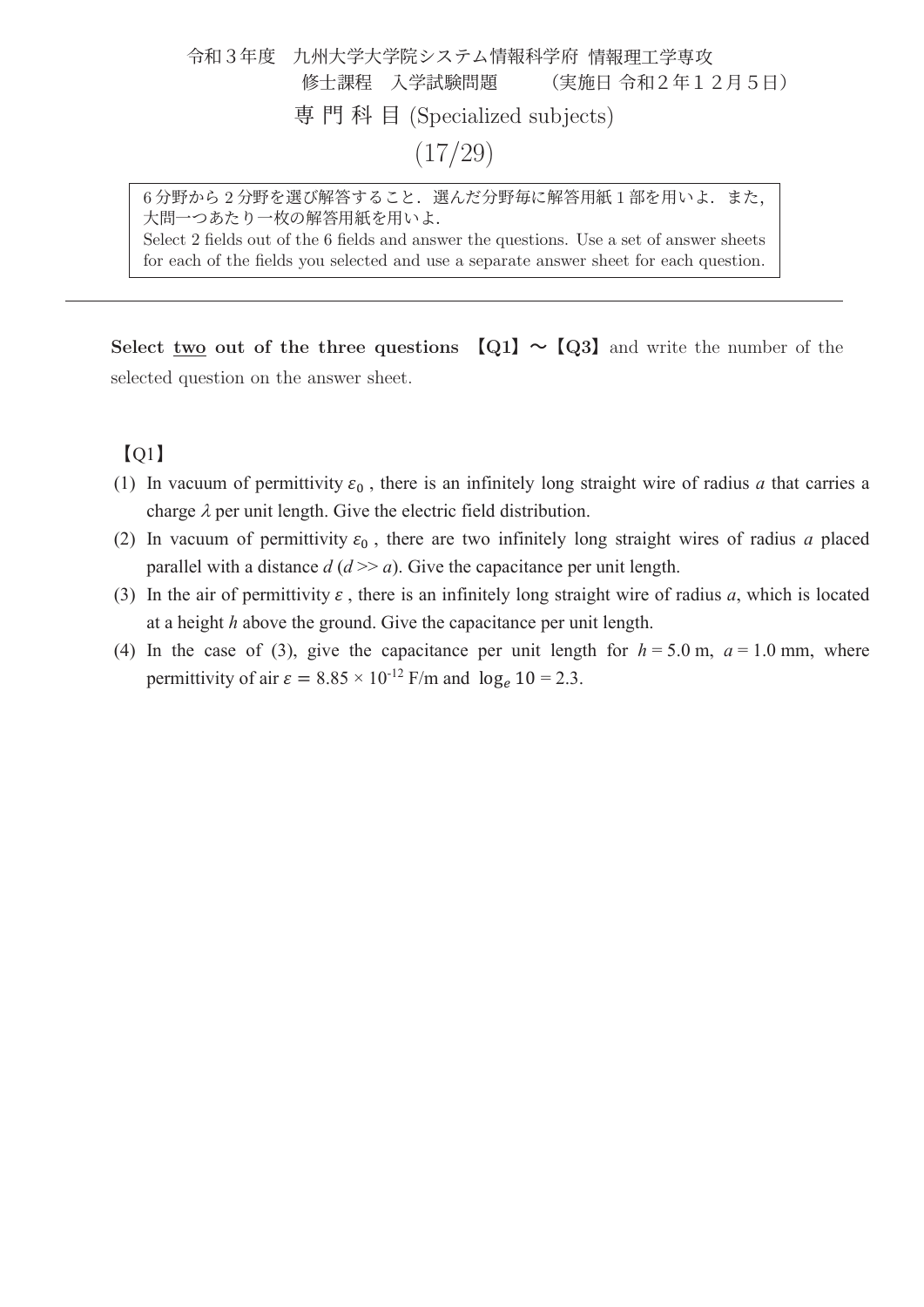#### 令和3年度 九州大学大学院システム情報科学府 情報理工学専攻 修士課程 入学試験問題 (実施日 令和2年12月5日) 専門科目 (Specialized subjects) (17/29)

6分野から2分野を選び解答すること. 選んだ分野毎に解答用紙1部を用いよ. また, 大問一つあたり一枚の解答用紙を用いよ. Select 2 fields out of the 6 fields and answer the questions. Use a set of answer sheets

for each of the fields you selected and use a separate answer sheet for each question.

**Select two out of the three questions**  $\llbracket Q_1 \rrbracket \sim \llbracket Q_2 \rrbracket$  **and write the number of the** selected question on the answer sheet.

#### $[Q1]$

- (1) In vacuum of permittivity  $\varepsilon_0$ , there is an infinitely long straight wire of radius *a* that carries a charge  $\lambda$  per unit length. Give the electric field distribution.
- (2) In vacuum of permittivity  $\varepsilon_0$ , there are two infinitely long straight wires of radius *a* placed parallel with a distance  $d (d \gg a)$ . Give the capacitance per unit length.
- (3) In the air of permittivity  $\varepsilon$ , there is an infinitely long straight wire of radius *a*, which is located at a height *h* above the ground. Give the capacitance per unit length.
- (4) In the case of (3), give the capacitance per unit length for  $h = 5.0$  m,  $a = 1.0$  mm, where permittivity of air  $\varepsilon = 8.85 \times 10^{-12}$  F/m and  $\log_e 10 = 2.3$ .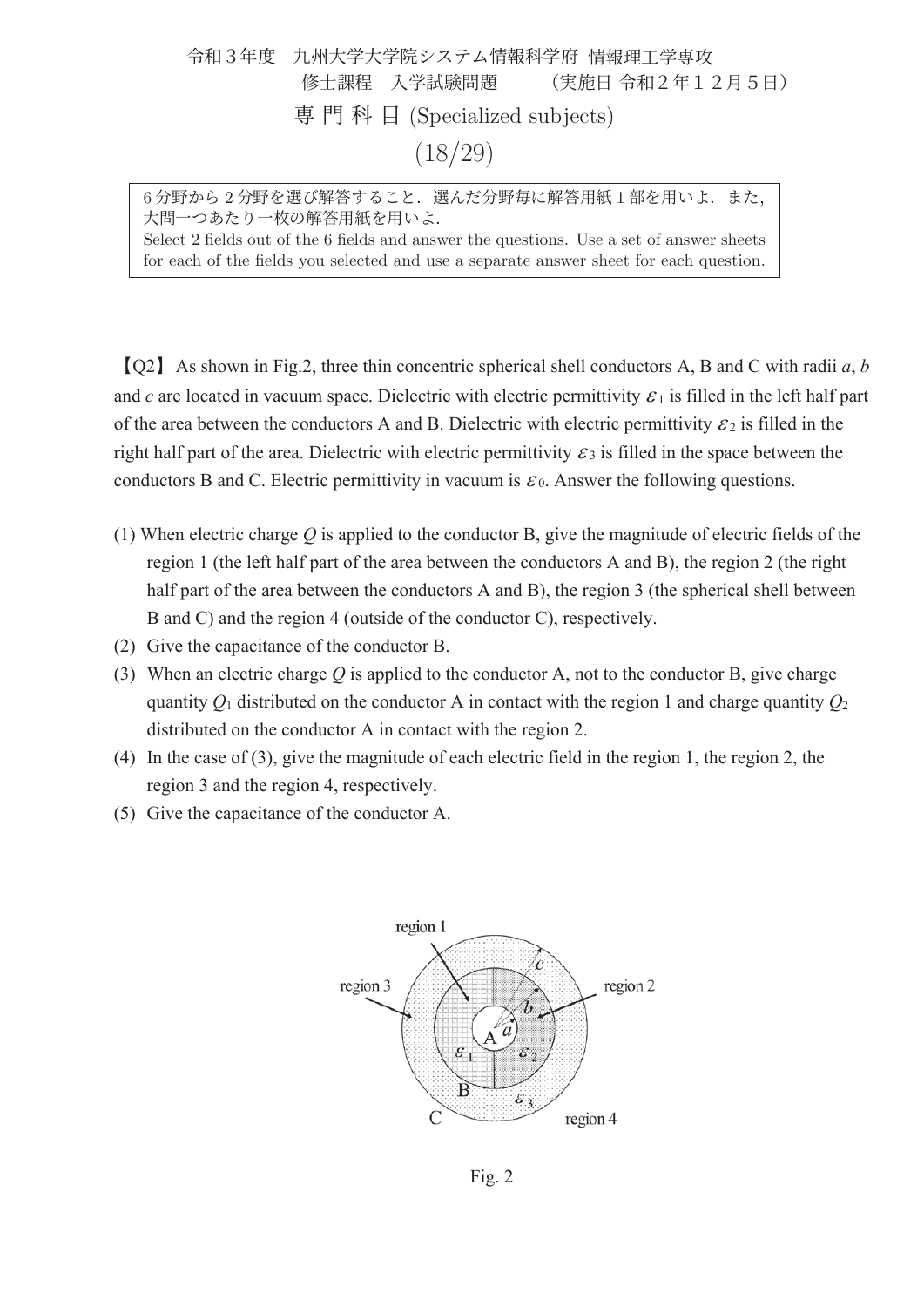| 令和3年度 九州大学大学院システム情報科学府 情報理工学専攻 |         |                               |  |
|--------------------------------|---------|-------------------------------|--|
|                                |         | 修士課程 入学試験問題   (実施日 令和2年12月5日) |  |
| 専門科目 (Specialized subjects)    |         |                               |  |
|                                | (18/29) |                               |  |

6分野から2分野を選び解答すること. 選んだ分野毎に解答用紙1部を用いよ. また, 大問一つあたり一枚の解答用紙を用いよ. Select 2 fields out of the 6 fields and answer the questions. Use a set of answer sheets

for each of the fields you selected and use a separate answer sheet for each question.

࠙Q2ࠚAs shown in Fig.2, three thin concentric spherical shell conductors A, B and C with radii *a*, *b* and *c* are located in vacuum space. Dielectric with electric permittivity  $\varepsilon_1$  is filled in the left half part of the area between the conductors A and B. Dielectric with electric permittivity  $\mathcal{E}_2$  is filled in the right half part of the area. Dielectric with electric permittivity  $\mathcal{E}_3$  is filled in the space between the conductors B and C. Electric permittivity in vacuum is  $\varepsilon_0$ . Answer the following questions.

- (1) When electric charge *Q* is applied to the conductor B, give the magnitude of electric fields of the region 1 (the left half part of the area between the conductors A and B), the region 2 (the right half part of the area between the conductors A and B), the region 3 (the spherical shell between B and C) and the region 4 (outside of the conductor C), respectively.
- (2) Give the capacitance of the conductor B.
- (3) When an electric charge *Q* is applied to the conductor A, not to the conductor B, give charge quantity  $Q_1$  distributed on the conductor A in contact with the region 1 and charge quantity  $Q_2$ distributed on the conductor A in contact with the region 2.
- (4) In the case of (3), give the magnitude of each electric field in the region 1, the region 2, the region 3 and the region 4, respectively.
- (5) Give the capacitance of the conductor A.



Fig. 2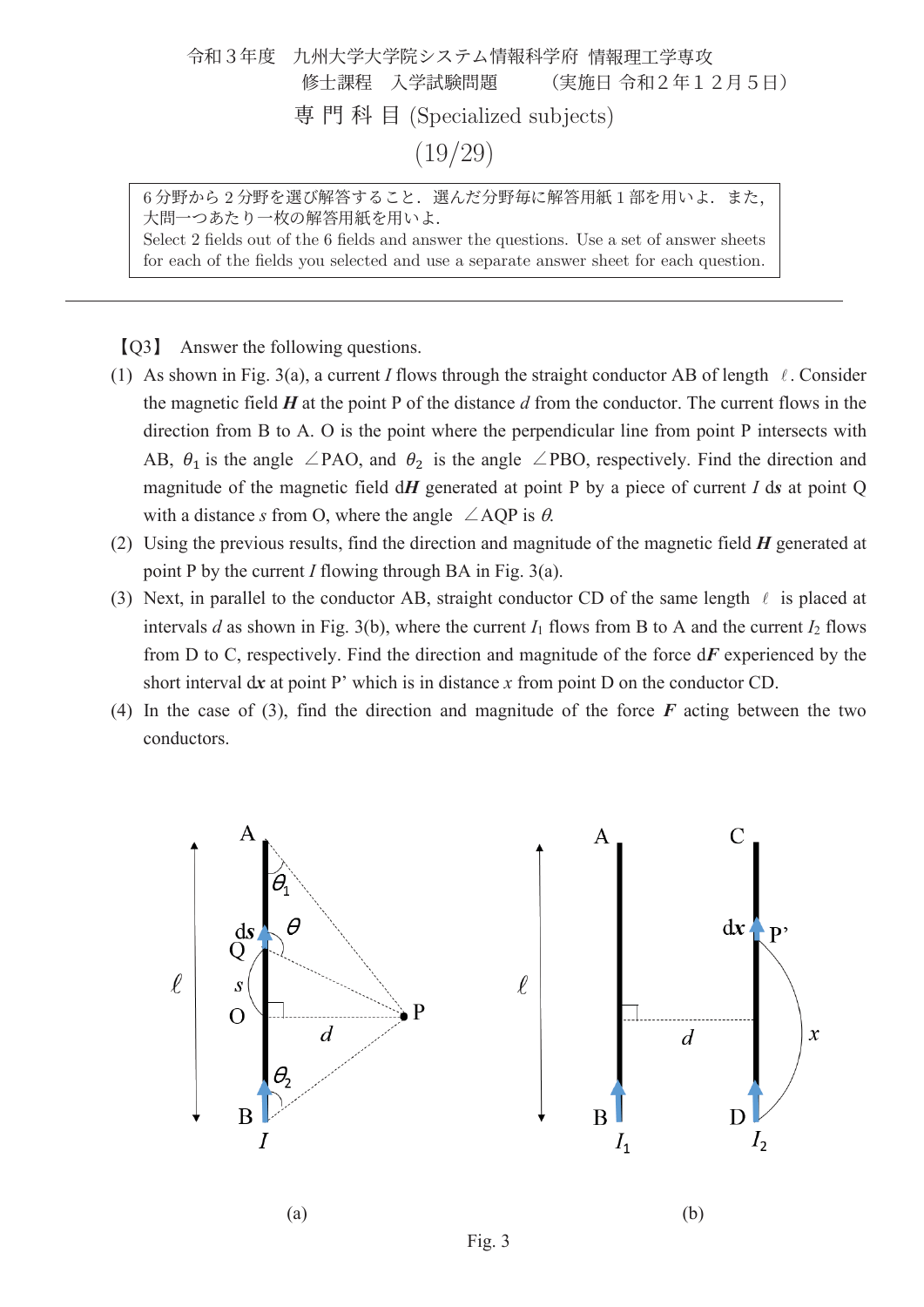## 令和3年度 九州大学大学院システム情報科学府 情報理工学専攻 修士課程 入学試験問題 (実施日 令和2年12月5日) 専門科目 (Specialized subjects) (19/29)

6分野から2分野を選び解答すること. 選んだ分野毎に解答用紙1部を用いよ. また, 大問一つあたり一枚の解答用紙を用いよ.

Select 2 fields out of the 6 fields and answer the questions. Use a set of answer sheets for each of the fields you selected and use a separate answer sheet for each question.

࠙Q3ࠚ Answer the following questions.

- (1) As shown in Fig. 3(a), a current *I* flows through the straight conductor AB of length  $\ell$ . Consider the magnetic field *H* at the point P of the distance *d* from the conductor. The current flows in the direction from B to A. O is the point where the perpendicular line from point P intersects with AB,  $\theta_1$  is the angle  $\angle$ PAO, and  $\theta_2$  is the angle  $\angle$ PBO, respectively. Find the direction and magnitude of the magnetic field d*H* generated at point P by a piece of current *I* d*s* at point Q with a distance *s* from O, where the angle  $\angle AQP$  is  $\theta$ .
- (2) Using the previous results, find the direction and magnitude of the magnetic field *H* generated at point P by the current *I* flowing through BA in Fig. 3(a).
- (3) Next, in parallel to the conductor AB, straight conductor CD of the same length  $\ell$  is placed at intervals *d* as shown in Fig. 3(b), where the current  $I_1$  flows from B to A and the current  $I_2$  flows from D to C, respectively. Find the direction and magnitude of the force d*F* experienced by the short interval d*x* at point P' which is in distance *x* from point D on the conductor CD.
- (4) In the case of (3), find the direction and magnitude of the force *F* acting between the two conductors.



Fig. 3

 $(a)$  (b)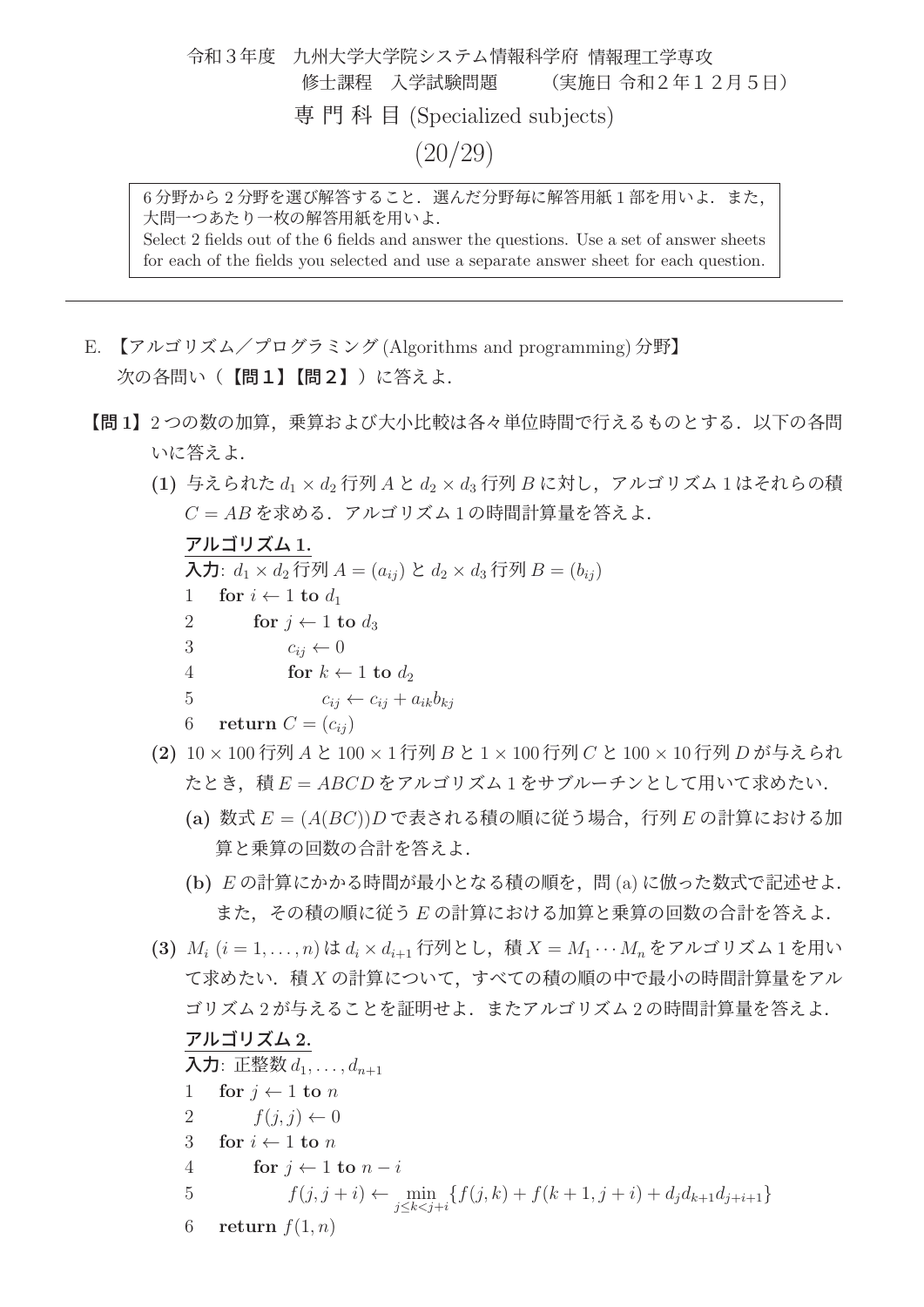令和3年度 九州大学大学院システム情報科学府 情報理工学専攻 修士課程 入学試験問題 (実施日 令和2年12月5日) 専門科目 (Specialized subjects) (20/29)

6分野から2分野を選び解答すること. 選んだ分野毎に解答用紙1部を用いよ. また, 大問一つあたり一枚の解答用紙を用いよ.

Select 2 fields out of the 6 fields and answer the questions. Use a set of answer sheets for each of the fields you selected and use a separate answer sheet for each question.

- E. 【アルゴリズム/プログラミング (Algorithms and programming) 分野】 次の各問い(【問1】【問2】)に答えよ.
	- 【問 **<sup>1</sup>**】<sup>2</sup> つの数の加算,乗算および大小比較は各々単位時間で行えるものとする.以下の各問 いに答えよ.
		- (1) 与えられた d<sub>1</sub> × d<sub>2</sub> 行列 A と d<sub>2</sub> × d<sub>3</sub> 行列 B に対し、アルゴリズム 1 はそれらの積  $C = AB$ を求める. アルゴリズム1の時間計算量を答えよ.

<u>アルコリスム 1.</u><br>ユ カース メス *1* 

入力:  $d_1 \times d_2$  行列  $A = (a_{ij}) \& d_2 \times d_3$  行列  $B = (b_{ij})$ 

- 1 **for**  $i \leftarrow 1$  **to**  $d_1$ <br>2 **for**  $i \leftarrow 1$  **t**
- 2 **for**  $j \leftarrow 1$  **to**  $d_3$ <br>3  $c_{ij} \leftarrow 0$ 
	- $c_{ij} \leftarrow 0$
- 4 **for**  $k \leftarrow 1$  **to**  $d_2$

$$
5 \qquad \qquad c_{ij} \leftarrow c_{ij} + a_{ik}b_{kj}
$$

6 return 
$$
C = (c_{ij})
$$

- **(2)** <sup>10</sup> <sup>×</sup> <sup>100</sup> 行列 <sup>A</sup> <sup>と</sup> <sup>100</sup> <sup>×</sup> <sup>1</sup> 行列 <sup>B</sup> <sup>と</sup> <sup>1</sup> <sup>×</sup> <sup>100</sup> 行列 <sup>C</sup> <sup>と</sup> <sup>100</sup> <sup>×</sup> <sup>10</sup> 行列 <sup>D</sup> が与えられ たとき、積  $E = ABCD$ をアルゴリズム 1 をサブルーチンとして用いて求めたい.
	- **(a)** 数式 <sup>E</sup> = (A(BC))<sup>D</sup> で表される積の順に従う場合,行列 <sup>E</sup> の計算における加 算と乗算の回数の合計を答えよ.
	- **(b)** <sup>E</sup> の計算にかかる時間が最小となる積の順を,問 (a) に倣った数式で記述せよ. また,その積の順に従う E の計算における加算と乗算の回数の合計を答えよ.
- **(3)**  $M_i$   $(i = 1, ..., n)$  は  $d_i \times d_{i+1}$  行列とし, 積  $X = M_1 \cdots M_n$  をアルゴリズム 1 を用い て求めたい.積 X の計算について,すべての積の順の中で最小の時間計算量をアル ゴリズム 2 が与えることを証明せよ.またアルゴリズム 2 の時間計算量を答えよ.

#### アルゴリズム **2.**

#### 入力: 正整数  $d_1, \ldots, d_{n+1}$ 1 **for**  $j \leftarrow 1$  **to** n<br>2  $f(i, j) \leftarrow 0$  $f(j, j) \leftarrow 0$ 3 **for**  $i \leftarrow 1$  **to** *n*<br>4 **for**  $i \leftarrow 1$ 4 **for**  $j \leftarrow 1$  **to**  $n - i$ <br>5  $f(i, j + i) \leftarrow$ 5  $f(j, j + i) \leftarrow \min_{j \leq k < j+i} \{f(j, k) + f(k + 1, j + i) + d_j d_{k+1} d_{j+i+1}\}$ 6 **return**  $f(1, n)$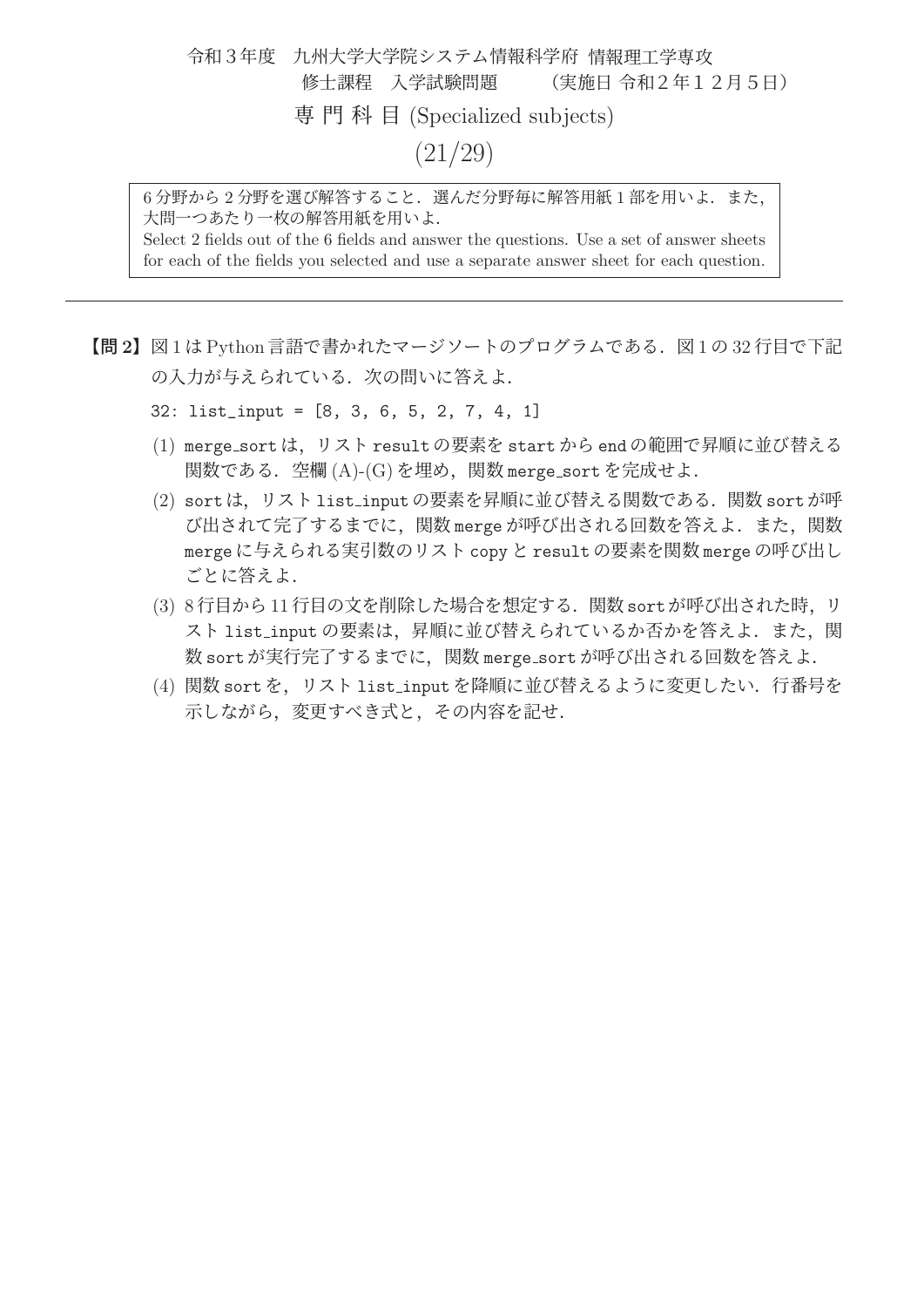#### 令和3年度 九州大学大学院システム情報科学府 情報理工学専攻 修士課程 入学試験問題 (実施日 令和2年12月5日) 専門科目 (Specialized subjects) (21/29)

6分野から2分野を選び解答すること. 選んだ分野毎に解答用紙1部を用いよ. また, 大問一つあたり一枚の解答用紙を用いよ.

Select 2 fields out of the 6 fields and answer the questions. Use a set of answer sheets for each of the fields you selected and use a separate answer sheet for each question.

- 【問 **2**】<sup>図</sup> <sup>1</sup> <sup>は</sup> Python 言語で書かれたマージソートのプログラムである.図 <sup>1</sup> <sup>の</sup> <sup>32</sup> 行目で下記 の入力が与えられている. 次の問いに答えよ.
	- 32: list\_input = [8, 3, 6, 5, 2, 7, 4, 1]
	- (1) merge sort は,リスト result の要素を start から end の範囲で昇順に並び替える 関数である.空欄 (A)-(G) を埋め,関数 merge sort を完成せよ.
	- (2) sort は,リスト list input の要素を昇順に並び替える関数である.関数 sort が呼 び出されて完了するまでに、関数 merge が呼び出される回数を答えよ. また、関数 merge に与えられる実引数のリスト copy と result の要素を関数 merge の呼び出し ごとに答えよ.
	- (3) 8 行目から 11 行目の文を削除した場合を想定する.関数 sort が呼び出された時,リ スト list\_input の要素は、昇順に並び替えられているか否かを答えよ. また、関 数 sort が実行完了するまでに,関数 merge sort が呼び出される回数を答えよ.
	- (4) 関数 sort を,リスト list input を降順に並び替えるように変更したい.行番号を 示しながら,変更すべき式と,その内容を記せ.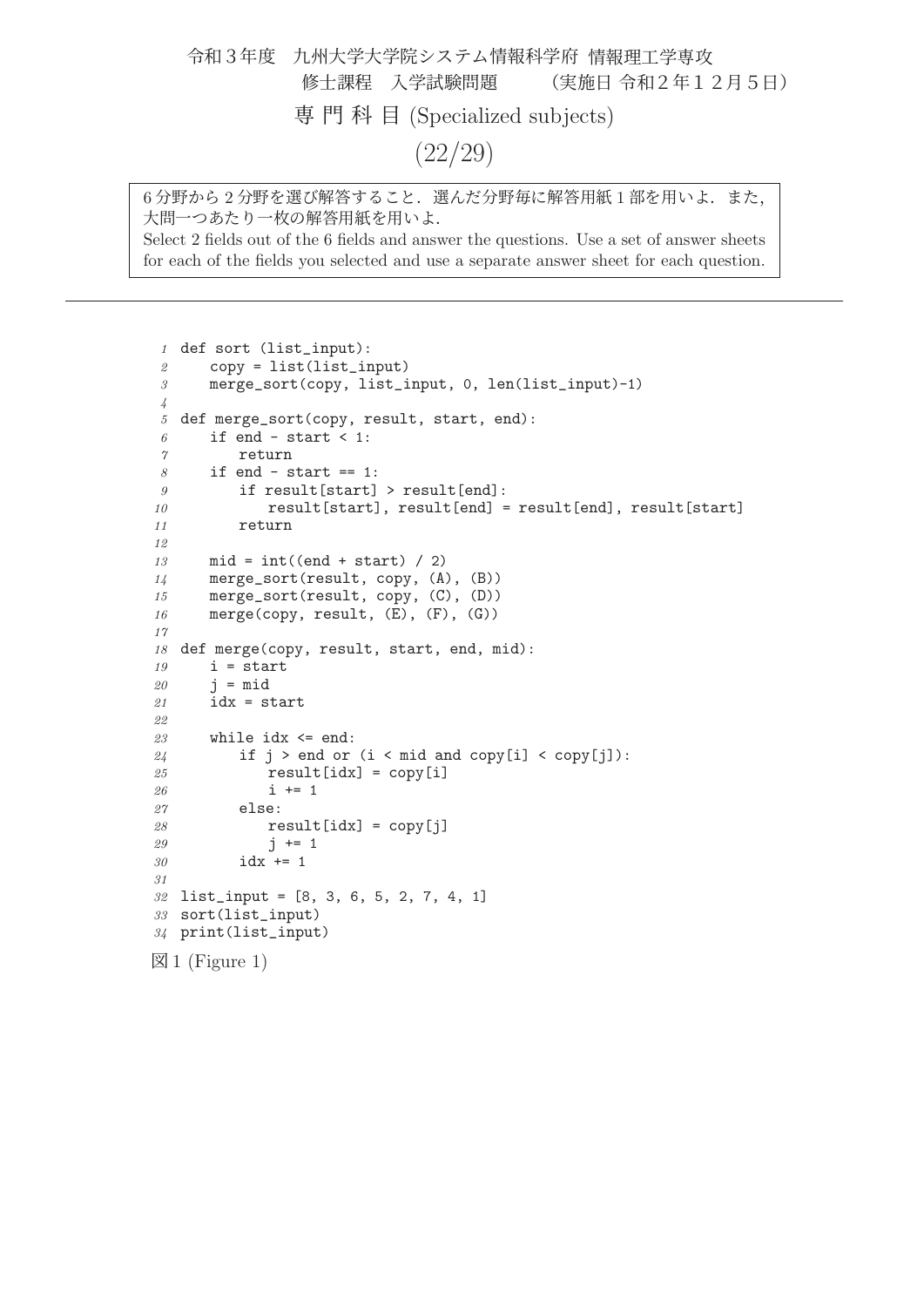令和3年度 九州大学大学院システム情報科学府 情報理工学専攻 修士課程 入学試験問題 (実施日 令和2年12月5日) 専門科目 (Specialized subjects) (22/29)

6分野から2分野を選び解答すること. 選んだ分野毎に解答用紙1部を用いよ. また, 大問一つあたり一枚の解答用紙を用いよ. Select 2 fields out of the 6 fields and answer the questions. Use a set of answer sheets for each of the fields you selected and use a separate answer sheet for each question.

 def sort (list\_input): copy = list(list\_input) merge\_sort(copy, list\_input, 0, len(list\_input)-1) def merge\_sort(copy, result, start, end): if end - start < 1: return if end - start == 1: if result[start] > result[end]: 10 result[start], result[end] = result[end], result[start] return 13 mid =  $int((end + start) / 2)$  merge\_sort(result, copy, (A), (B)) merge\_sort(result, copy, (C), (D)) 16 merge(copy, result, (E), (F), (G)) 18 def merge(copy, result, start, end, mid): i = start  $20 \qquad i = mid$  idx = start while idx  $\le$  end: 24 if  $j > end$  or (i < mid and copy[i] < copy[j]): result[idx] = copy[i] 26  $i + = 1$  else: result[idx] = copy[j] 29  $j \neq 1$  idx += 1 list\_input = [8, 3, 6, 5, 2, 7, 4, 1] sort(list\_input) print(list\_input)  $\boxtimes$  1 (Figure 1)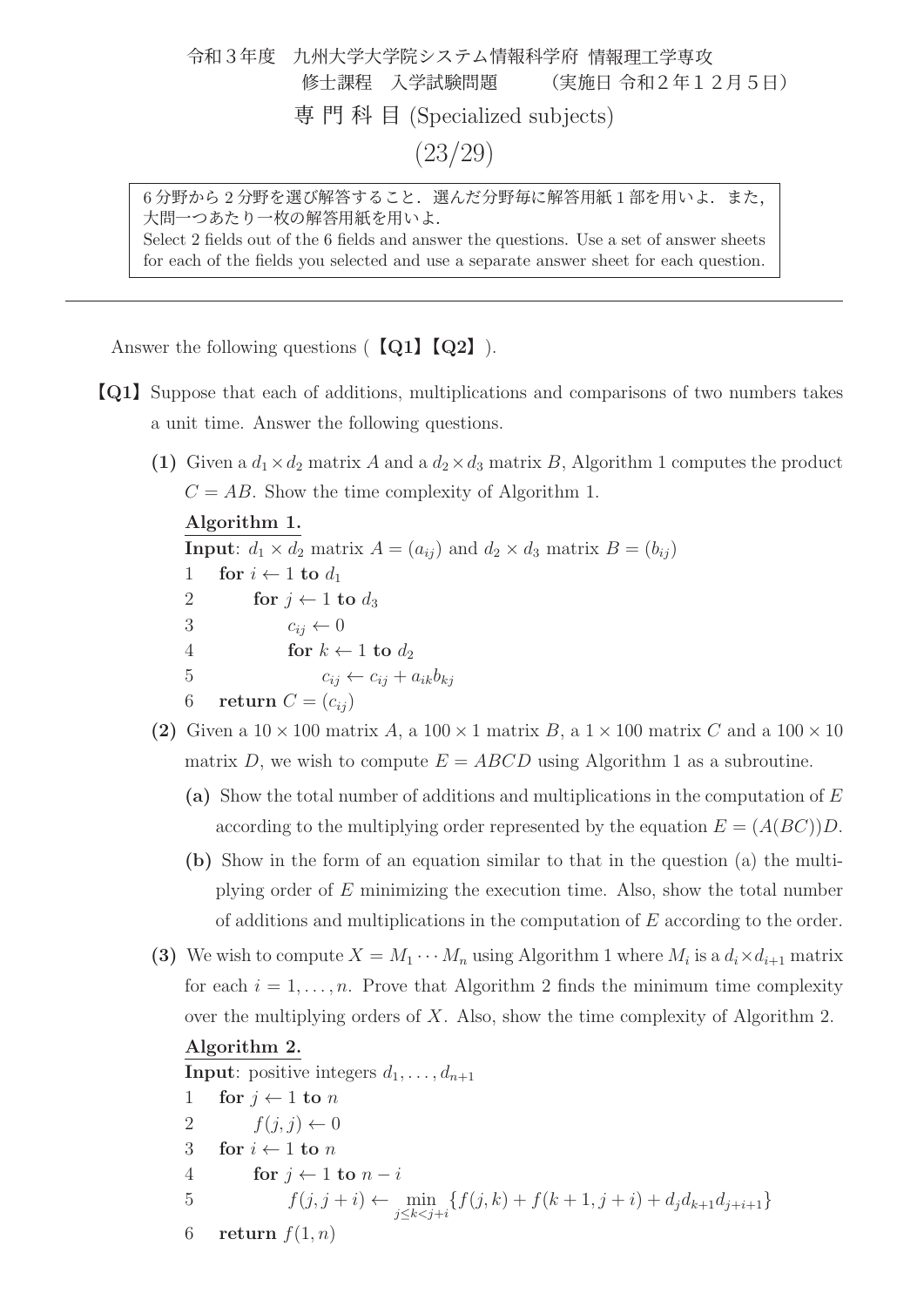令和3年度 九州大学大学院システム情報科学府 情報理工学専攻 修士課程 入学試験問題 (実施日 令和2年12月5日) 専門科目 (Specialized subjects) (23/29)

6分野から2分野を選び解答すること. 選んだ分野毎に解答用紙1部を用いよ. また, 大問一つあたり一枚の解答用紙を用いよ. Select 2 fields out of the 6 fields and answer the questions. Use a set of answer sheets

for each of the fields you selected and use a separate answer sheet for each question.

Answer the following questions (【**Q1**】【**Q2**】).

- 【**Q1**】Suppose that each of additions, multiplications and comparisons of two numbers takes a unit time. Answer the following questions.
	- (1) Given a  $d_1 \times d_2$  matrix A and a  $d_2 \times d_3$  matrix B, Algorithm 1 computes the product  $C = AB$ . Show the time complexity of Algorithm 1.

**Input**:  $d_1 \times d_2$  matrix  $A = (a_{ij})$  and  $d_2 \times d_3$  matrix  $B = (b_{ij})$ 1 **for**  $i \leftarrow 1$  **to**  $d_1$ <br>2 **for**  $j \leftarrow 1$  **t** 2 **for**  $j \leftarrow 1$  **to**  $d_3$ <br>3  $c_{ij} \leftarrow 0$  $c_{ij} \leftarrow 0$ 4 **for**  $k \leftarrow 1$  **to**  $d_2$ <br>5  $c_{ii} \leftarrow c_{ii} + c_1$  $c_{ij} \leftarrow c_{ij} + a_{ik}b_{ki}$ 6 **return**  $C = (c_{ii})$ 

- (2) Given a  $10 \times 100$  matrix A, a  $100 \times 1$  matrix B, a  $1 \times 100$  matrix C and a  $100 \times 10$ matrix D, we wish to compute  $E = ABCD$  using Algorithm 1 as a subroutine.
	- **(a)** Show the total number of additions and multiplications in the computation of <sup>E</sup> according to the multiplying order represented by the equation  $E = (A(BC))D$ .
	- **(b)** Show in the form of an equation similar to that in the question (a) the multiplying order of E minimizing the execution time. Also, show the total number of additions and multiplications in the computation of E according to the order.
- **(3)** We wish to compute  $X = M_1 \cdots M_n$  using Algorithm 1 where  $M_i$  is a  $d_i \times d_{i+1}$  matrix for each  $i = 1, \ldots, n$ . Prove that Algorithm 2 finds the minimum time complexity over the multiplying orders of X. Also, show the time complexity of Algorithm 2.

**Input**: positive integers  $d_1, \ldots, d_{n+1}$ 

```
1 for j \leftarrow 1 to n<br>2 f(i, j) \leftarrow 0f(j, j) \leftarrow 03 for i \leftarrow 1 to n<br>4 for j \leftarrow 14 for j \leftarrow 1 to n - i<br>5 f(i, i + i) \leftarrow5 f(j, j + i) \leftarrow \min_{j \leq k < j+i} \{f(j, k) + f(k + 1, j + i) + d_j d_{k+1} d_{j+i+1}\}6 return f(1, n)
```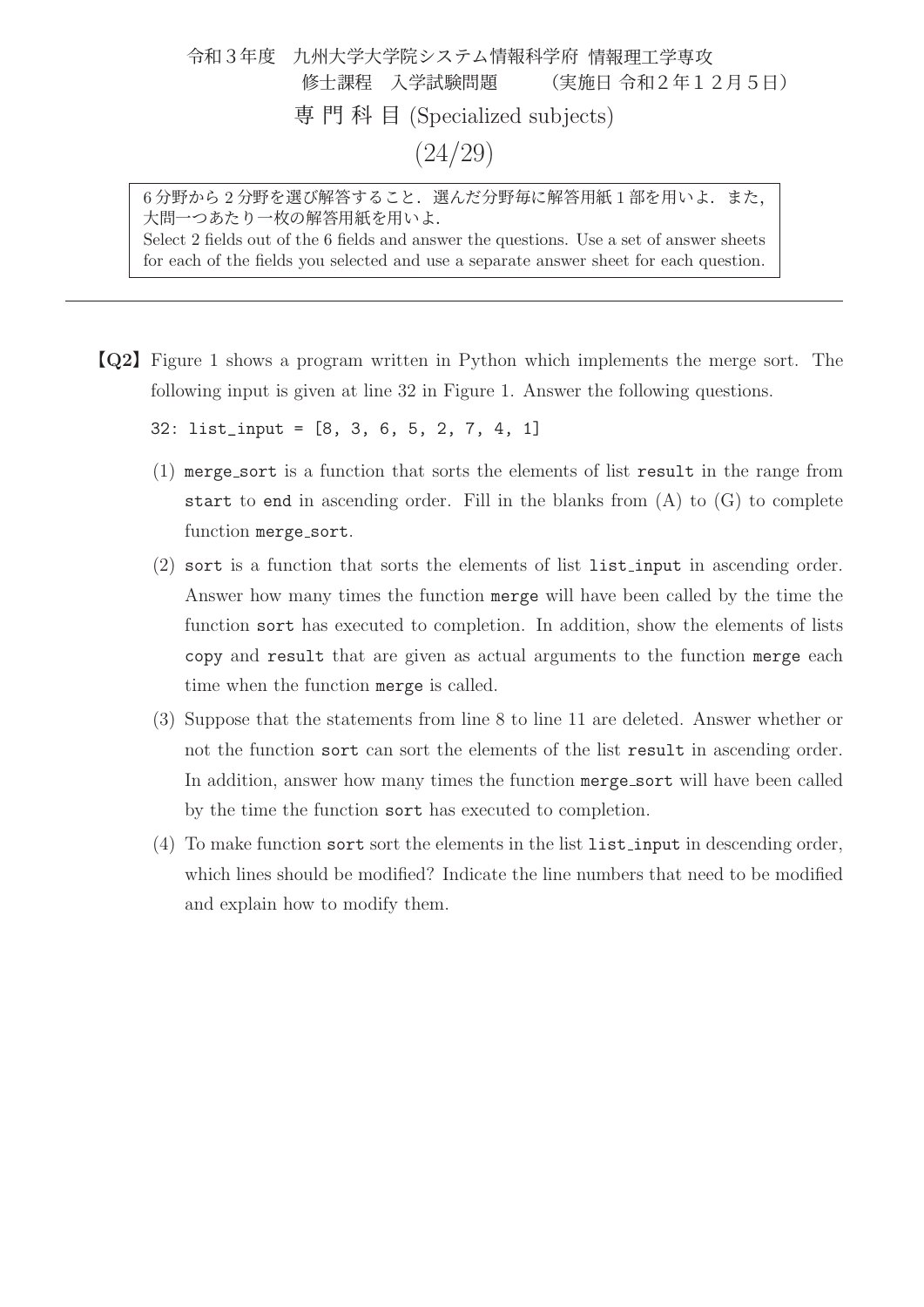### 令和3年度 九州大学大学院システム情報科学府 情報理工学専攻 修士課程 入学試験問題 (実施日 令和2年12月5日) 専門科目 (Specialized subjects) (24/29)

6分野から2分野を選び解答すること. 選んだ分野毎に解答用紙1部を用いよ. また, 大問一つあたり一枚の解答用紙を用いよ. Select 2 fields out of the 6 fields and answer the questions. Use a set of answer sheets for each of the fields you selected and use a separate answer sheet for each question.

【**Q2**】Figure 1 shows a program written in Python which implements the merge sort. The following input is given at line 32 in Figure 1. Answer the following questions.

32: list\_input = [8, 3, 6, 5, 2, 7, 4, 1]

- (1) merge sort is a function that sorts the elements of list result in the range from start to end in ascending order. Fill in the blanks from  $(A)$  to  $(G)$  to complete function merge\_sort.
- (2) sort is a function that sorts the elements of list list input in ascending order. Answer how many times the function merge will have been called by the time the function sort has executed to completion. In addition, show the elements of lists copy and result that are given as actual arguments to the function merge each time when the function merge is called.
- (3) Suppose that the statements from line 8 to line 11 are deleted. Answer whether or not the function sort can sort the elements of the list result in ascending order. In addition, answer how many times the function merge sort will have been called by the time the function sort has executed to completion.
- (4) To make function sort sort the elements in the list list input in descending order, which lines should be modified? Indicate the line numbers that need to be modified and explain how to modify them.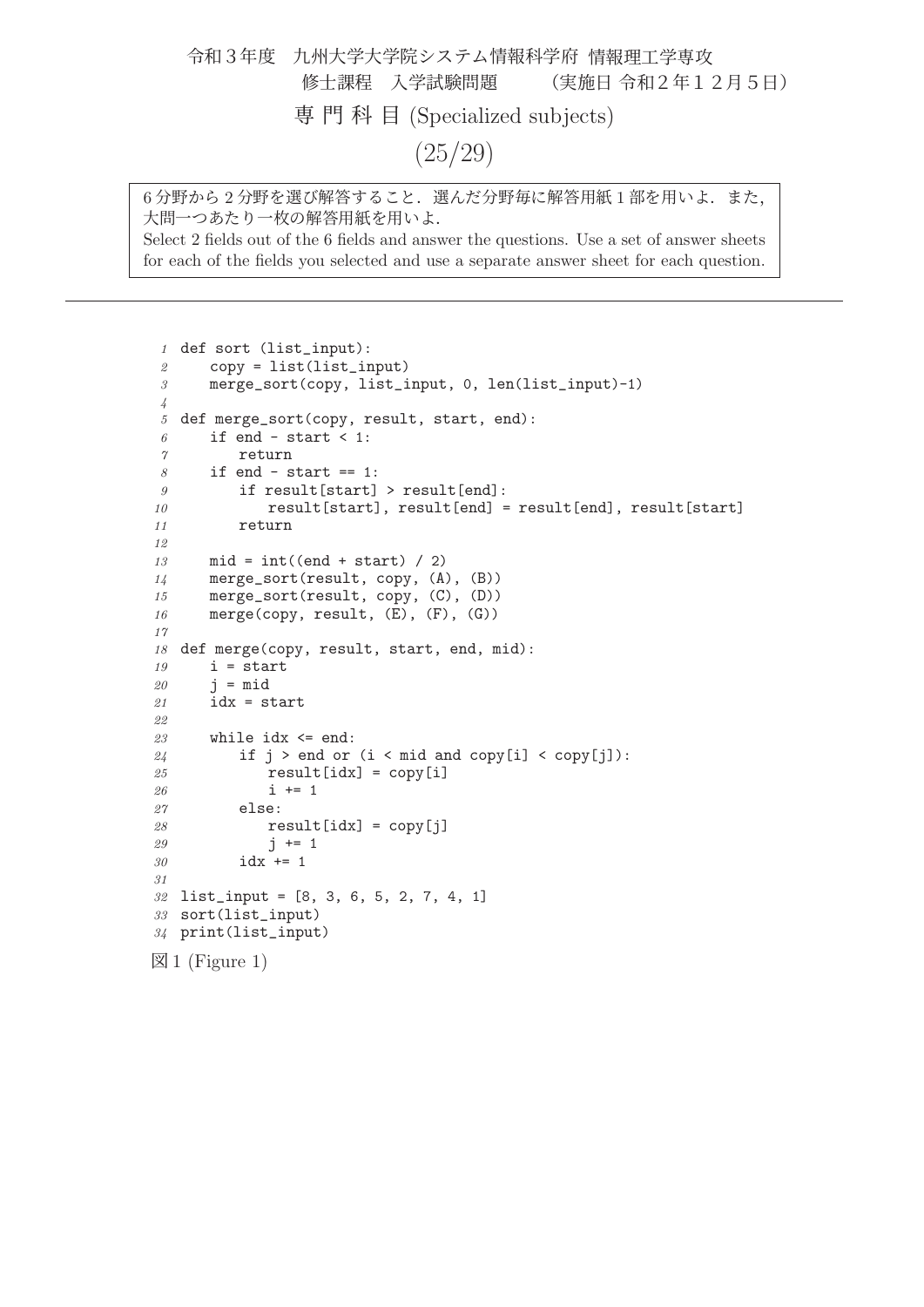令和3年度 九州大学大学院システム情報科学府 情報理工学専攻 修士課程 入学試験問題 (実施日 令和2年12月5日) 専門科目 (Specialized subjects) (25/29)

6分野から2分野を選び解答すること. 選んだ分野毎に解答用紙1部を用いよ. また, 大問一つあたり一枚の解答用紙を用いよ. Select 2 fields out of the 6 fields and answer the questions. Use a set of answer sheets for each of the fields you selected and use a separate answer sheet for each question.

 def sort (list\_input): copy = list(list\_input) merge\_sort(copy, list\_input, 0, len(list\_input)-1) def merge\_sort(copy, result, start, end): if end - start < 1: return if end - start == 1: if result[start] > result[end]: 10 result[start], result[end] = result[end], result[start] return 13 mid =  $int((end + start) / 2)$  merge\_sort(result, copy, (A), (B)) merge\_sort(result, copy, (C), (D)) 16 merge(copy, result, (E), (F), (G)) 18 def merge(copy, result, start, end, mid): i = start  $20 \qquad i = mid$  idx = start while idx  $\le$  end: 24 if  $j > end$  or (i < mid and copy[i] < copy[j]): result[idx] = copy[i] 26  $i + = 1$  else: result[idx] = copy[j] 29  $j \neq 1$  idx += 1 list\_input = [8, 3, 6, 5, 2, 7, 4, 1] sort(list\_input) print(list\_input)  $\boxtimes$  1 (Figure 1)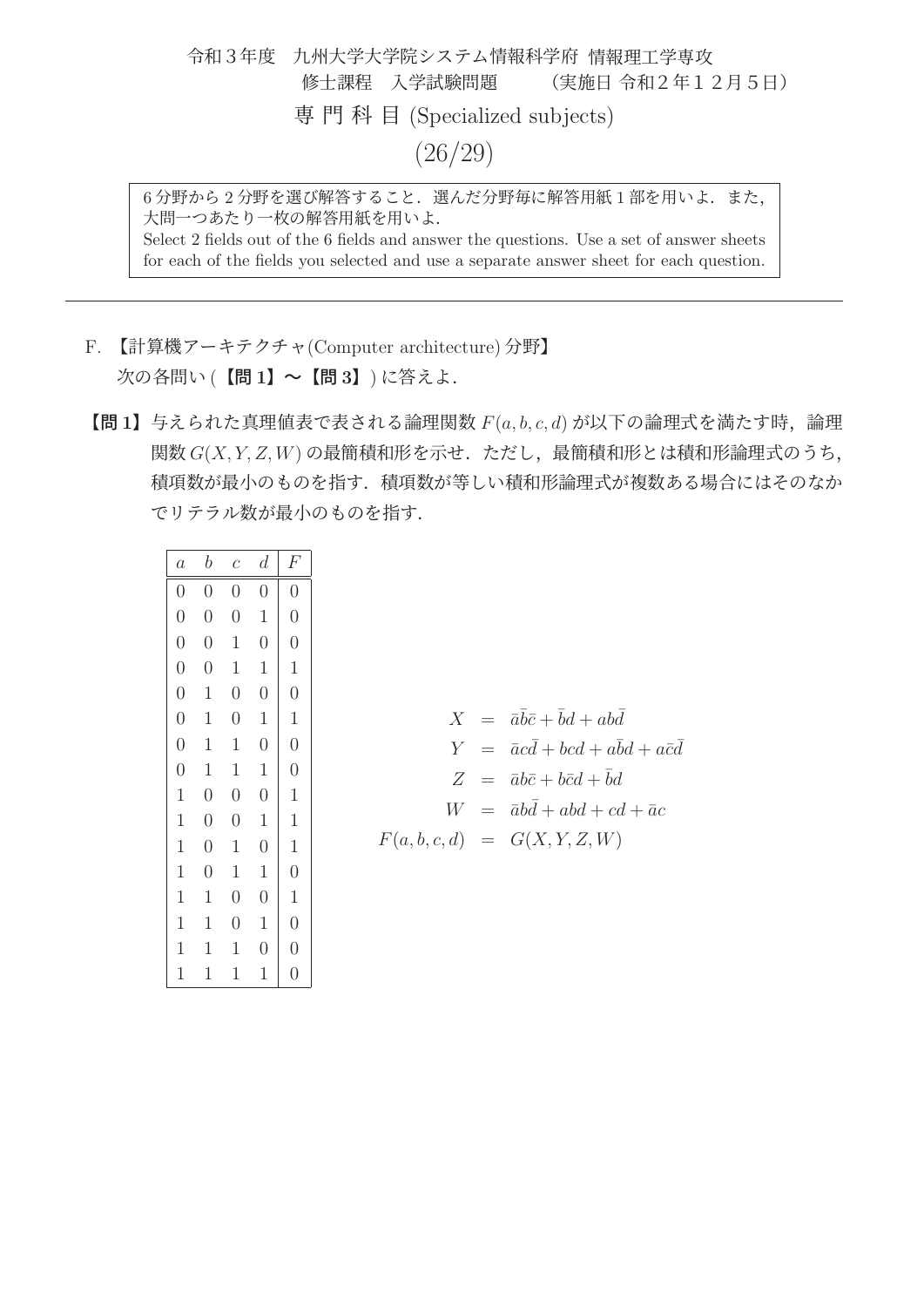令和3年度 九州大学大学院システム情報科学府 情報理工学専攻 修士課程 入学試験問題 (実施日 令和2年12月5日) 専門科目 (Specialized subjects) (26/29)

6分野から2分野を選び解答すること. 選んだ分野毎に解答用紙1部を用いよ. また, 大問一つあたり一枚の解答用紙を用いよ. Select 2 fields out of the 6 fields and answer the questions. Use a set of answer sheets for each of the fields you selected and use a separate answer sheet for each question.

- F. 【計算機アーキテクチャ(Computer architecture) 分野】 次の各問い (【問 **1**】~【問 **3**】) に答えよ.
- 【問 **<sup>1</sup>**】与えられた真理値表で表される論理関数 <sup>F</sup>(a, b, c, d) が以下の論理式を満たす時,論理 関数 G(X, Y, Z,W) の最簡積和形を示せ.ただし,最簡積和形とは積和形論理式のうち, 積項数が最小のものを指す.積項数が等しい積和形論理式が複数ある場合にはそのなか でリテラル数が最小のものを指す.

| $\boldsymbol{a}$ | $\boldsymbol{b}$ | $\,c\,$        | $\overline{d}$ | F              |
|------------------|------------------|----------------|----------------|----------------|
| $\overline{0}$   | $\overline{0}$   | $\overline{0}$ | $\overline{0}$ | $\overline{0}$ |
| $\overline{0}$   | $\overline{0}$   | $\overline{0}$ | $\mathbf 1$    | $\overline{0}$ |
| $\overline{0}$   | $\overline{0}$   | $\mathbf 1$    | $\overline{0}$ | $\overline{0}$ |
| $\overline{0}$   | $\overline{0}$   | $\mathbf 1$    | $\mathbf 1$    | $\mathbf{1}$   |
| $\overline{0}$   | $\mathbf 1$      | $\overline{0}$ | $\overline{0}$ | $\overline{0}$ |
| $\overline{0}$   | $\mathbf 1$      | $\overline{0}$ | $\mathbf 1$    | $\mathbf{1}$   |
| $\overline{0}$   | $\mathbf 1$      | $\mathbf 1$    | $\overline{0}$ | $\overline{0}$ |
| $\overline{0}$   | $\mathbf 1$      | $\mathbf{1}$   | $\mathbf{1}$   | $\overline{0}$ |
| $\mathbf{1}$     | $\overline{0}$   | $\overline{0}$ | $\overline{0}$ | $\mathbf{1}$   |
| $\mathbf{1}$     | $\overline{0}$   | $\overline{0}$ | $\mathbf 1$    | $\mathbf{1}$   |
| $\mathbf{1}$     | $\overline{0}$   | $\mathbf 1$    | $\overline{0}$ | $\mathbf{1}$   |
| $\mathbf{1}$     | $\overline{0}$   | $\mathbf{1}$   | $\mathbf{1}$   | $\overline{0}$ |
| $\mathbf{1}$     | $\mathbf 1$      | $\overline{0}$ | $\overline{0}$ | $\mathbf 1$    |
| $\mathbf 1$      | $\mathbf 1$      | $\overline{0}$ | $\mathbf 1$    | $\overline{0}$ |
| $\mathbf 1$      | 1                | 1              | $\overline{0}$ | $\overline{0}$ |
| $\mathbf 1$      | 1                | 1              | 1              | $\overline{0}$ |

|  | $X = \bar{a}\bar{b}\bar{c} + \bar{b}d + ab\bar{d}$ |
|--|----------------------------------------------------|
|  | $Y = \bar{a}cd + bcd + abd + a\bar{c}d$            |
|  | $Z = \bar{a}b\bar{c} + b\bar{c}d + bd$             |
|  | $W = \bar{a}bd + abd + cd + \bar{a}c$              |
|  | $F(a, b, c, d) = G(X, Y, Z, W)$                    |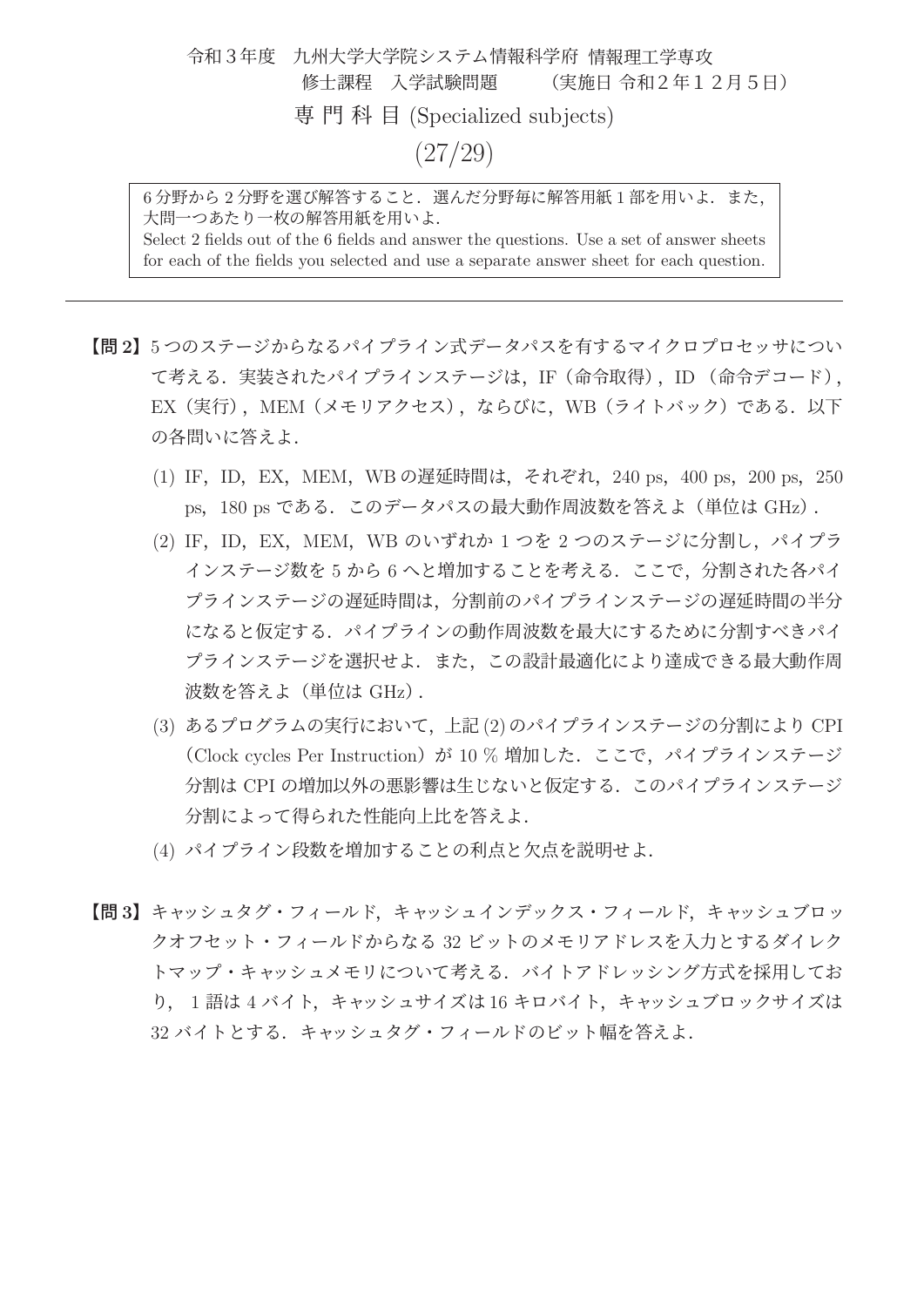令和3年度 九州大学大学院システム情報科学府 情報理工学専攻 修士課程 入学試験問題 (実施日 令和2年12月5日) 専門科目 (Specialized subjects) (27/29)

6分野から2分野を選び解答すること. 選んだ分野毎に解答用紙1部を用いよ. また, 大問一つあたり一枚の解答用紙を用いよ. Select 2 fields out of the 6 fields and answer the questions. Use a set of answer sheets for each of the fields you selected and use a separate answer sheet for each question.

【問 **2**】<sup>5</sup> つのステージからなるパイプライン式データパスを有するマイクロプロセッサについ て考える.実装されたパイプラインステージは,IF(命令取得),ID (命令デコード), EX (実行), MEM (メモリアクセス), ならびに, WB (ライトバック) である. 以下 の各問いに答えよ.

- (1) IF, ID, EX, MEM, WB の遅延時間は, それぞれ, 240 ps, 400 ps, 200 ps, 250 ps, 180 ps である. このデータパスの最大動作周波数を答えよ (単位は GHz).
- (2) IF, ID, EX, MEM, WB のいずれか 1 つを 2 つのステージに分割し, パイプラ インステージ数を 5 から 6 へと増加することを考える.ここで,分割された各パイ プラインステージの遅延時間は,分割前のパイプラインステージの遅延時間の半分 になると仮定する.パイプラインの動作周波数を最大にするために分割すべきパイ プラインステージを選択せよ.また,この設計最適化により達成できる最大動作周 波数を答えよ(単位は GHz).
- (3) あるプログラムの実行において,上記(2)のパイプラインステージの分割により CPI (Clock cycles Per Instruction) が 10 % 増加した. ここで、パイプラインステージ 分割は CPI の増加以外の悪影響は生じないと仮定する.このパイプラインステージ 分割によって得られた性能向上比を答えよ.
- (4) パイプライン段数を増加することの利点と欠点を説明せよ.
- 【問 **3**】キャッシュタグ・フィールド,キャッシュインデックス・フィールド,キャッシュブロッ クオフセット・フィールドからなる 32 ビットのメモリアドレスを入力とするダイレク トマップ・キャッシュメモリについて考える. バイトアドレッシング方式を採用してお り, 1 語は 4 バイト,キャッシュサイズは 16 キロバイト,キャッシュブロックサイズは 32 バイトとする. キャッシュタグ・フィールドのビット幅を答えよ.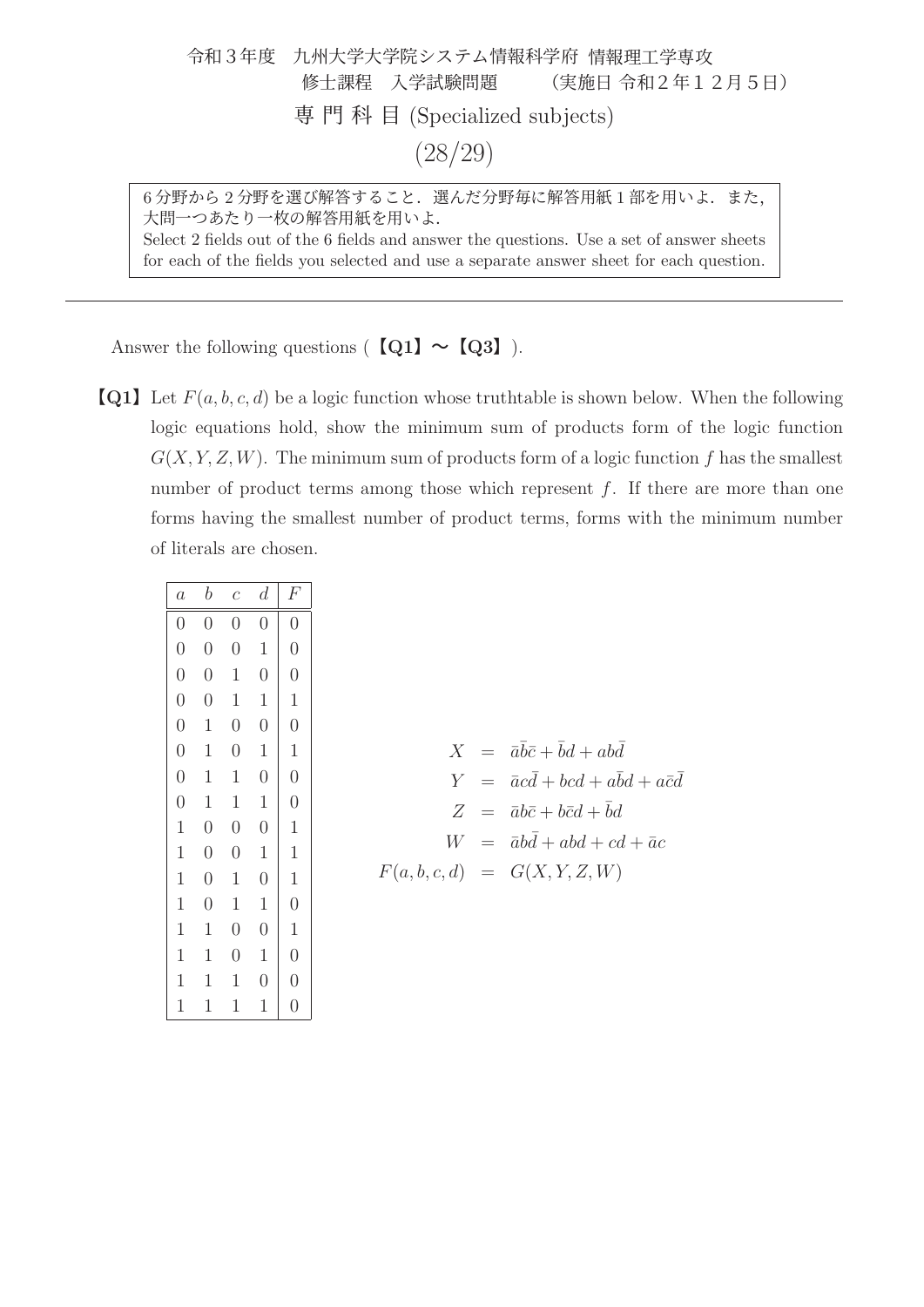| 令和3年度 九州大学大学院システム情報科学府 情報理工学専攻 |  |  |  |
|--------------------------------|--|--|--|
| 修士課程 入学試験問題 (実施日 令和2年12月5日)    |  |  |  |
| 専門科目 (Specialized subjects)    |  |  |  |
| (28/29)                        |  |  |  |

6分野から2分野を選び解答すること. 選んだ分野毎に解答用紙1部を用いよ. また, 大問一つあたり一枚の解答用紙を用いよ. Select 2 fields out of the 6 fields and answer the questions. Use a set of answer sheets for each of the fields you selected and use a separate answer sheet for each question.

Answer the following questions ( $\text{[Q1]} \sim \text{[Q3]}$ ).

**[Q1]** Let  $F(a, b, c, d)$  be a logic function whose truthtable is shown below. When the following logic equations hold, show the minimum sum of products form of the logic function  $G(X, Y, Z, W)$ . The minimum sum of products form of a logic function f has the smallest number of product terms among those which represent  $f$ . If there are more than one forms having the smallest number of product terms, forms with the minimum number of literals are chosen.

| $\boldsymbol{a}$ | $\boldsymbol{b}$ | $\mathfrak c$  | $\boldsymbol{d}$ | F                               |
|------------------|------------------|----------------|------------------|---------------------------------|
| $\boldsymbol{0}$ | $\hspace{.0cm}0$ | $\overline{0}$ | $\overline{0}$   | $\begin{matrix} 0 \end{matrix}$ |
| $\overline{0}$   | $\overline{0}$   | $\overline{0}$ | $\mathbf{1}$     | $\overline{0}$                  |
| $\overline{0}$   | $\overline{0}$   | $\mathbf 1$    | $\overline{0}$   | $\overline{0}$                  |
| $\overline{0}$   | $\overline{0}$   | $\mathbf 1$    | $\mathbf 1$      | $\mathbf{1}$                    |
| $\overline{0}$   | $\mathbf 1$      | $\overline{0}$ | $\overline{0}$   | $\overline{0}$                  |
| $\overline{0}$   | $\mathbf 1$      | $\overline{0}$ | $\mathbf 1$      | $\mathbf 1$                     |
| $\overline{0}$   | $\mathbf 1$      | $\mathbf 1$    | $\overline{0}$   | $\overline{0}$                  |
| $\overline{0}$   | $\mathbf 1$      | $\mathbf{1}$   | $\mathbf{1}$     | $\overline{0}$                  |
| $\mathbf{1}$     | $\overline{0}$   | $\overline{0}$ | $\overline{0}$   | $\mathbf{1}$                    |
| $\mathbf{1}$     | $\overline{0}$   | $\overline{0}$ | $\mathbf 1$      | $\mathbf{1}$                    |
| $\mathbf 1$      | $\overline{0}$   | $\mathbf 1$    | $\overline{0}$   | $\mathbf{1}$                    |
| $\mathbf{1}$     | $\overline{0}$   | $\mathbf 1$    | $\mathbf{1}$     | $\overline{0}$                  |
| $\mathbf 1$      | $\mathbf 1$      | $\overline{0}$ | $\overline{0}$   | $\mathbf 1$                     |
| $\mathbf{1}$     | $\mathbf{1}$     | $\overline{0}$ | $\mathbf 1$      | $\overline{0}$                  |
| $\mathbf{1}$     | $\mathbf 1$      | 1              | $\overline{0}$   | $\overline{0}$                  |
| 1                | 1                | 1              | 1                | $\overline{0}$                  |

|  | $X = \bar{a}b\bar{c} + bd + abd$              |
|--|-----------------------------------------------|
|  | $Y = \bar{a}cd + bcd + a\bar{b}d + a\bar{c}d$ |
|  | $Z = \bar{a}b\bar{c} + b\bar{c}d + bd$        |
|  | $W = \bar{a}bd + abd + cd + \bar{a}c$         |
|  | $F(a, b, c, d) = G(X, Y, Z, W)$               |
|  |                                               |